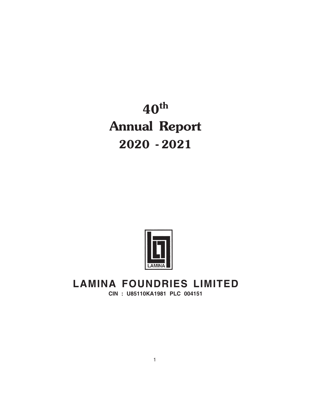**40th Annual Report 2020 - 2021**



# **LAMINA FOUNDRIES LIMITED**

**CIN : U85110KA1981 PLC 004151**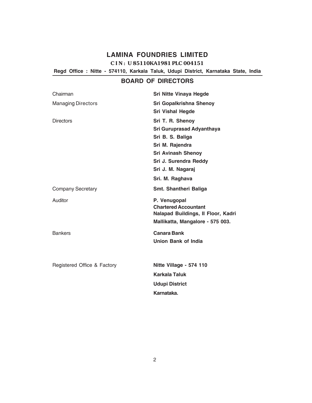**Regd Office : Nitte - 574110, Karkala Taluk, Udupi District, Karnataka State, India**

### **BOARD OF DIRECTORS**

| Chairman                    | <b>Sri Nitte Vinaya Hegde</b>                                                                                                                                                             |
|-----------------------------|-------------------------------------------------------------------------------------------------------------------------------------------------------------------------------------------|
| <b>Managing Directors</b>   | Sri Gopalkrishna Shenoy<br><b>Sri Vishal Hegde</b>                                                                                                                                        |
| <b>Directors</b>            | Sri T. R. Shenoy<br><b>Sri Guruprasad Adyanthaya</b><br>Sri B. S. Baliga<br>Sri M. Rajendra<br><b>Sri Avinash Shenoy</b><br>Sri J. Surendra Reddy<br>Sri J. M. Nagaraj<br>Sri. M. Raghava |
| <b>Company Secretary</b>    | Smt. Shantheri Baliga                                                                                                                                                                     |
| Auditor                     | P. Venugopal<br><b>Chartered Accountant</b><br>Nalapad Buildings, Il Floor, Kadri<br>Mallikatta, Mangalore - 575 003.                                                                     |
| <b>Bankers</b>              | <b>Canara Bank</b><br><b>Union Bank of India</b>                                                                                                                                          |
| Registered Office & Factory | Nitte Village - 574 110<br><b>Karkala Taluk</b><br><b>Udupi District</b><br>Karnataka.                                                                                                    |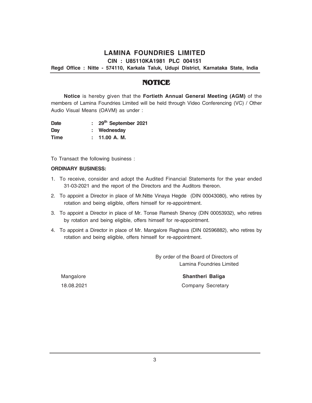**CIN : U85110KA1981 PLC 004151**

**Regd Office : Nitte - 574110, Karkala Taluk, Udupi District, Karnataka State, India**

### **NOTICE**

**Notice** is hereby given that the **Fortieth Annual General Meeting (AGM)** of the members of Lamina Foundries Limited will be held through Video Conferencing (VC) / Other Audio Visual Means (OAVM) as under :

**Date : 29th September 2021 Day : Wednesday Time : 11.00 A. M.**

To Transact the following business :

#### **ORDINARY BUSINESS:**

- 1. To receive, consider and adopt the Audited Financial Statements for the year ended 31-03-2021 and the report of the Directors and the Auditors thereon.
- 2. To appoint a Director in place of Mr.Nitte Vinaya Hegde (DIN 00043080), who retires by rotation and being eligible, offers himself for re-appointment.
- 3. To appoint a Director in place of Mr. Tonse Ramesh Shenoy (DIN 00053932), who retires by rotation and being eligible, offers himself for re-appointment.
- 4. To appoint a Director in place of Mr. Mangalore Raghava (DIN 02596882), who retires by rotation and being eligible, offers himself for re-appointment.

 By order of the Board of Directors of Lamina Foundries Limited

Mangalore **Shantheri Baliga** 18.08.2021 Company Secretary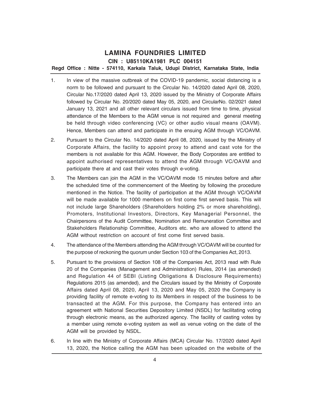**Regd Office : Nitte - 574110, Karkala Taluk, Udupi District, Karnataka State, India**

- 1. In view of the massive outbreak of the COVID-19 pandemic, social distancing is a norm to be followed and pursuant to the Circular No. 14/2020 dated April 08, 2020, Circular No.17/2020 dated April 13, 2020 issued by the Ministry of Corporate Affairs followed by Circular No. 20/2020 dated May 05, 2020, and CircularNo. 02/2021 dated January 13, 2021 and all other relevant circulars issued from time to time, physical attendance of the Members to the AGM venue is not required and general meeting be held through video conferencing (VC) or other audio visual means (OAVM). Hence, Members can attend and participate in the ensuing AGM through VC/OAVM.
- 2. Pursuant to the Circular No. 14/2020 dated April 08, 2020, issued by the Ministry of Corporate Affairs, the facility to appoint proxy to attend and cast vote for the members is not available for this AGM. However, the Body Corporates are entitled to appoint authorised representatives to attend the AGM through VC/OAVM and participate there at and cast their votes through e-voting.
- 3. The Members can join the AGM in the VC/OAVM mode 15 minutes before and after the scheduled time of the commencement of the Meeting by following the procedure mentioned in the Notice. The facility of participation at the AGM through VC/OAVM will be made available for 1000 members on first come first served basis. This will not include large Shareholders (Shareholders holding 2% or more shareholding), Promoters, Institutional Investors, Directors, Key Managerial Personnel, the Chairpersons of the Audit Committee, Nomination and Remuneration Committee and Stakeholders Relationship Committee, Auditors etc. who are allowed to attend the AGM without restriction on account of first come first served basis.
- 4. The attendance of the Members attending the AGM through VC/OAVM will be counted for the purpose of reckoning the quorum under Section 103 of the Companies Act, 2013.
- 5. Pursuant to the provisions of Section 108 of the Companies Act, 2013 read with Rule 20 of the Companies (Management and Administration) Rules, 2014 (as amended) and Regulation 44 of SEBI (Listing Obligations & Disclosure Requirements) Regulations 2015 (as amended), and the Circulars issued by the Ministry of Corporate Affairs dated April 08, 2020, April 13, 2020 and May 05, 2020 the Company is providing facility of remote e-voting to its Members in respect of the business to be transacted at the AGM. For this purpose, the Company has entered into an agreement with National Securities Depository Limited (NSDL) for facilitating voting through electronic means, as the authorized agency. The facility of casting votes by a member using remote e-voting system as well as venue voting on the date of the AGM will be provided by NSDL.
- 6. In line with the Ministry of Corporate Affairs (MCA) Circular No. 17/2020 dated April 13, 2020, the Notice calling the AGM has been uploaded on the website of the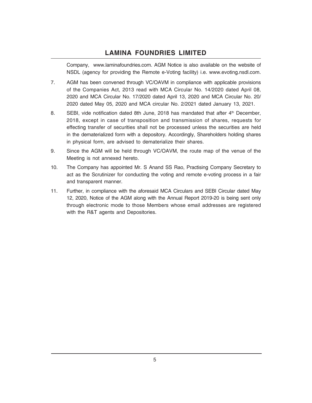Company, www.laminafoundries.com. AGM Notice is also available on the website of NSDL (agency for providing the Remote e-Voting facility) i.e. www.evoting.nsdl.com.

- 7. AGM has been convened through VC/OAVM in compliance with applicable provisions of the Companies Act, 2013 read with MCA Circular No. 14/2020 dated April 08, 2020 and MCA Circular No. 17/2020 dated April 13, 2020 and MCA Circular No. 20/ 2020 dated May 05, 2020 and MCA circular No. 2/2021 dated January 13, 2021.
- 8. SEBI, vide notification dated 8th June, 2018 has mandated that after 4<sup>th</sup> December, 2018, except in case of transposition and transmission of shares, requests for effecting transfer of securities shall not be processed unless the securities are held in the dematerialized form with a depository. Accordingly, Shareholders holding shares in physical form, are advised to dematerialize their shares.
- 9. Since the AGM will be held through VC/OAVM, the route map of the venue of the Meeting is not annexed hereto.
- 10. The Company has appointed Mr. S Anand SS Rao, Practising Company Secretary to act as the Scrutinizer for conducting the voting and remote e-voting process in a fair and transparent manner.
- 11. Further, in compliance with the aforesaid MCA Circulars and SEBI Circular dated May 12, 2020, Notice of the AGM along with the Annual Report 2019-20 is being sent only through electronic mode to those Members whose email addresses are registered with the R&T agents and Depositories.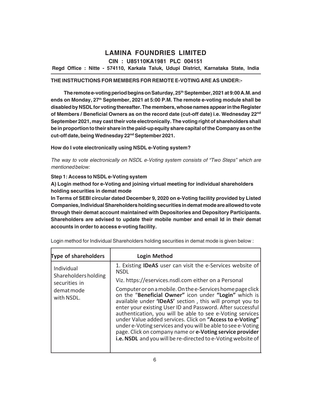**CIN : U85110KA1981 PLC 004151**

**Regd Office : Nitte - 574110, Karkala Taluk, Udupi District, Karnataka State, India**

### **THE INSTRUCTIONS FOR MEMBERS FOR REMOTE E-VOTING ARE AS UNDER:-**

**The remote e-voting period begins on Saturday, 25th September, 2021 at 9:00 A.M. and ends on Monday, 27th September, 2021 at 5:00 P.M. The remote e-voting module shall be disabled by NSDL for voting thereafter. The members, whose names appear in the Register of Members / Beneficial Owners as on the record date (cut-off date) i.e. Wednesday 22nd September 2021, may cast their vote electronically. The voting right of shareholders shall be in proportion to their share in the paid-up equity share capital of the Company as on the cut-off date, being Wednesday 22nd September 2021.**

**How do I vote electronically using NSDL e-Voting system?**

*The way to vote electronically on NSDL e-Voting system consists of "Two Steps" which are mentioned below:*

### **Step 1: Access to NSDL e-Voting system**

**A) Login method for e-Voting and joining virtual meeting for individual shareholders holding securities in demat mode**

**In Terms of SEBI circular dated December 9, 2020 on e-Voting facility provided by Listed Companies, Individual Shareholders holding securities in demat mode are allowed to vote through their demat account maintained with Depositories and Depository Participants. Shareholders are advised to update their mobile number and email Id in their demat accounts in order to access e-voting facility.**

| <b>Type of shareholders</b>                         | <b>Login Method</b>                                                                                                                                                                                                                                                                                                                                                                                                                                                                                                                                                 |
|-----------------------------------------------------|---------------------------------------------------------------------------------------------------------------------------------------------------------------------------------------------------------------------------------------------------------------------------------------------------------------------------------------------------------------------------------------------------------------------------------------------------------------------------------------------------------------------------------------------------------------------|
| Individual<br>Shareholders holding<br>securities in | 1. Existing <b>IDeAS</b> user can visit the e-Services website of<br><b>NSDL</b><br>Viz. https://eservices.nsdl.com either on a Personal                                                                                                                                                                                                                                                                                                                                                                                                                            |
| demat mode<br>with NSDL.                            | Computer or on a mobile. On the e-Services home page click<br>on the "Beneficial Owner" icon under "Login" which is<br>available under 'IDeAS' section, this will prompt you to<br>enter your existing User ID and Password. After successful<br>authentication, you will be able to see e-Voting services<br>under Value added services. Click on "Access to e-Voting"<br>under e-Voting services and you will be able to see e-Voting<br>page. Click on company name or e-Voting service provider<br>i.e. NSDL and you will be re-directed to e-Voting website of |

Login method for Individual Shareholders holding securities in demat mode is given below :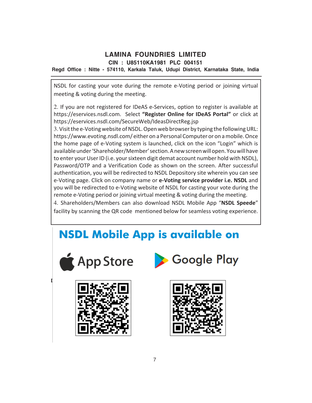**CIN : U85110KA1981 PLC 004151**

**Regd Office : Nitte - 574110, Karkala Taluk, Udupi District, Karnataka State, India**

NSDL for casting your vote during the remote e-Voting period or joining virtual meeting & voting during the meeting.

2. If you are not registered for IDeAS e-Services, option to register is available at https://eservices.nsdl.com. Select **"Register Online for IDeAS Portal"** or click at https://eservices.nsdl.com/SecureWeb/IdeasDirectReg.jsp

3. Visit the e-Voting website of NSDL. Open web browser by typing the following URL: https://www.evoting.nsdl.com/ either on a Personal Computer or on a mobile. Once the home page of e-Voting system is launched, click on the icon "Login" which is available under 'Shareholder/Member' section. A new screen will open. You will have to enter your User ID (i.e. your sixteen digit demat account number hold with NSDL), Password/OTP and a Verification Code as shown on the screen. After successful authentication, you will be redirected to NSDL Depository site wherein you can see e-Voting page. Click on company name or **e-Voting service provider i.e. NSDL** and you will be redirected to e-Voting website of NSDL for casting your vote during the remote e-Voting period or joining virtual meeting & voting during the meeting.

4. Shareholders/Members can also download NSDL Mobile App "**NSDL Speede**" facility by scanning the QR code mentioned below for seamless voting experience.

# **NSDL Mobile App is available on**







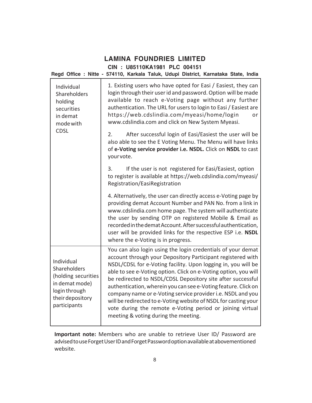### **LAMINA FOUNDRIES LIMITED CIN : U85110KA1981 PLC 004151 Regd Office : Nitte - 574110, Karkala Taluk, Udupi District, Karnataka State, India**

| Individual<br>Shareholders<br>holding<br>securities<br>in demat<br>mode with<br><b>CDSL</b>                              | 1. Existing users who have opted for Easi / Easiest, they can<br>login through their user id and password. Option will be made<br>available to reach e-Voting page without any further<br>authentication. The URL for users to login to Easi / Easiest are<br>https://web.cdslindia.com/myeasi/home/login<br>or<br>www.cdslindia.com and click on New System Myeasi.                                                                                                                                                                                                                                                                    |
|--------------------------------------------------------------------------------------------------------------------------|-----------------------------------------------------------------------------------------------------------------------------------------------------------------------------------------------------------------------------------------------------------------------------------------------------------------------------------------------------------------------------------------------------------------------------------------------------------------------------------------------------------------------------------------------------------------------------------------------------------------------------------------|
|                                                                                                                          | 2.<br>After successful login of Easi/Easiest the user will be<br>also able to see the E Voting Menu. The Menu will have links<br>of e-Voting service provider i.e. NSDL. Click on NSDL to cast<br>your vote.                                                                                                                                                                                                                                                                                                                                                                                                                            |
|                                                                                                                          | 3.<br>If the user is not registered for Easi/Easiest, option<br>to register is available at https://web.cdslindia.com/myeasi/<br>Registration/EasiRegistration                                                                                                                                                                                                                                                                                                                                                                                                                                                                          |
|                                                                                                                          | 4. Alternatively, the user can directly access e-Voting page by<br>providing demat Account Number and PAN No. from a link in<br>www.cdslindia.com home page. The system will authenticate<br>the user by sending OTP on registered Mobile & Email as<br>recorded in the demat Account. After successful authentication,<br>user will be provided links for the respective ESP i.e. NSDL<br>where the e-Voting is in progress.                                                                                                                                                                                                           |
| Individual<br>Shareholders<br>(holding securities<br>in demat mode)<br>login through<br>their depository<br>participants | You can also login using the login credentials of your demat<br>account through your Depository Participant registered with<br>NSDL/CDSL for e-Voting facility. Upon logging in, you will be<br>able to see e-Voting option. Click on e-Voting option, you will<br>be redirected to NSDL/CDSL Depository site after successful<br>authentication, wherein you can see e-Voting feature. Click on<br>company name or e-Voting service provider i.e. NSDL and you<br>will be redirected to e-Voting website of NSDL for casting your<br>vote during the remote e-Voting period or joining virtual<br>meeting & voting during the meeting. |

**Important note:** Members who are unable to retrieve User ID/ Password are advised to use Forget User ID and Forget Password option available at abovementioned website.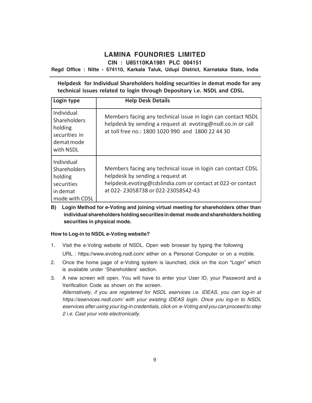**CIN : U85110KA1981 PLC 004151**

**Regd Office : Nitte - 574110, Karkala Taluk, Udupi District, Karnataka State, India**

**Helpdesk for Individual Shareholders holding securities in demat mode for any technical issues related to login through Depository i.e. NSDL and CDSL.**

| Login type                                                                               | <b>Help Desk Details</b>                                                                                                                                                                              |
|------------------------------------------------------------------------------------------|-------------------------------------------------------------------------------------------------------------------------------------------------------------------------------------------------------|
| Individual<br>Shareholders<br>holding<br>securities in<br>demat mode<br>with NSDL        | Members facing any technical issue in login can contact NSDL<br>helpdesk by sending a request at evoting@nsdl.co.in or call<br>at toll free no.: 1800 1020 990 and 1800 22 44 30                      |
| Individual<br><b>Shareholders</b><br>holding<br>securities<br>in demat<br>mode with CDSL | Members facing any technical issue in login can contact CDSL<br>helpdesk by sending a request at<br>helpdesk.evoting@cdslindia.com or contact at 022-or contact<br>at 022-23058738 or 022-23058542-43 |

**B) Login Method for e-Voting and joining virtual meeting for shareholders other than individual shareholders holding securities in demat mode and shareholders holding securities in physical mode.**

### **How to Log-in to NSDL e-Voting website?**

- 1. Visit the e-Voting website of NSDL. Open web browser by typing the following URL : https://www.evoting.nsdl.com/ either on a Personal Computer or on a mobile.
- 2. Once the home page of e-Voting system is launched, click on the icon "Login" which is available under 'Shareholders' section.
- 3. A new screen will open. You will have to enter your User ID, your Password and a Verification Code as shown on the screen. *Alternatively, if you are registered for NSDL eservices i.e. IDEAS, you can log-in at https://eservices.nsdl.com/ with your existing IDEAS login. Once you log-in to NSDL eservices after using your log-in credentials, click on e-Voting and you can proceed to step 2 i.e. Cast your vote electronically.*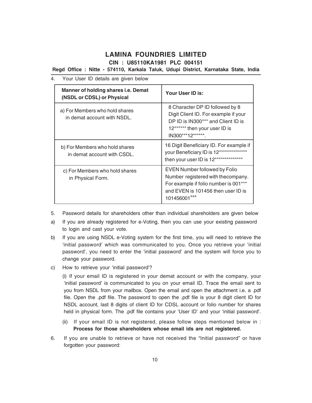**CIN : U85110KA1981 PLC 004151**

**Regd Office : Nitte - 574110, Karkala Taluk, Udupi District, Karnataka State, India**

- 4. Your User ID details are given below **Manner of holding shares i.e. Demat (NSDL or CDSL) or Physical Your User ID is:** a) For Members who hold shares in demat account with NSDL. 8 Character DP ID followed by 8 Digit Client ID. For example if your DP ID is IN300\*\*\* and Client ID is 12\*\*\*\*\*\* then your user ID is IN300\*\*\*12\*\*\*\*\*\*. b) For Members who hold shares in demat account with CSDL. 16 Digit Beneficiary ID. For example if your Beneficiary ID is 12\*\*\*\*\*\*\*\*\*\*\*\*\*\* then your user ID is 12\*\*\*\*\*\*\*\*\*\*\*\*\*\* c) For Members who hold shares in Physical Form. EVEN Number followed by Folio Number registered with thecompany. For example if folio number is 001\*\*\* and EVEN is 101456 then user ID is 101456001\*\*\*
- 5. Password details for shareholders other than individual shareholders are given below
- a) If you are already registered for e-Voting, then you can use your existing password to login and cast your vote.
- b) If you are using NSDL e-Voting system for the first time, you will need to retrieve the 'initial password' which was communicated to you. Once you retrieve your 'initial password', you need to enter the 'initial password' and the system will force you to change your password.
- c) How to retrieve your 'initial password'?

(i) If your email ID is registered in your demat account or with the company, your 'initial password' is communicated to you on your email ID. Trace the email sent to you from NSDL from your mailbox. Open the email and open the attachment i.e. a .pdf file. Open the .pdf file. The password to open the .pdf file is your 8 digit client ID for NSDL account, last 8 digits of client ID for CDSL account or folio number for shares held in physical form. The .pdf file contains your 'User ID' and your 'initial password'.

- (ii) If your email ID is not registered, please follow steps mentioned below in :  **Process for those shareholders whose email ids are not registered.**
- 6. If you are unable to retrieve or have not received the "Initial password" or have forgotten your password: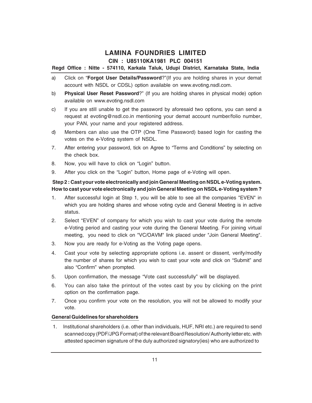### **Regd Office : Nitte - 574110, Karkala Taluk, Udupi District, Karnataka State, India**

- a) Click on "**Forgot User Details/Password**?"(If you are holding shares in your demat account with NSDL or CDSL) option available on www.evoting.nsdl.com.
- b) **Physical User Reset Password**?" (If you are holding shares in physical mode) option available on www.evoting.nsdl.com
- c) If you are still unable to get the password by aforesaid two options, you can send a request at evoting@nsdl.co.in mentioning your demat account number/folio number, your PAN, your name and your registered address.
- d) Members can also use the OTP (One Time Password) based login for casting the votes on the e-Voting system of NSDL.
- 7. After entering your password, tick on Agree to "Terms and Conditions" by selecting on the check box.
- 8. Now, you will have to click on "Login" button.
- 9. After you click on the "Login" button, Home page of e-Voting will open.

### **Step 2 : Cast your vote electronically and join General Meeting on NSDL e-Voting system. How to cast your vote electronically and join General Meeting on NSDL e-Voting system ?**

- 1. After successful login at Step 1, you will be able to see all the companies "EVEN" in which you are holding shares and whose voting cycle and General Meeting is in active status.
- 2. Select "EVEN" of company for which you wish to cast your vote during the remote e-Voting period and casting your vote during the General Meeting. For joining virtual meeting, you need to click on "VC/OAVM" link placed under "Join General Meeting".
- 3. Now you are ready for e-Voting as the Voting page opens.
- 4. Cast your vote by selecting appropriate options i.e. assent or dissent, verify/modify the number of shares for which you wish to cast your vote and click on "Submit" and also "Confirm" when prompted.
- 5. Upon confirmation, the message "Vote cast successfully" will be displayed.
- 6. You can also take the printout of the votes cast by you by clicking on the print option on the confirmation page.
- 7. Once you confirm your vote on the resolution, you will not be allowed to modify your vote.

### **General Guidelines for shareholders**

 1. Institutional shareholders (i.e. other than individuals, HUF, NRI etc.) are required to send scanned copy (PDF/JPG Format) of the relevant Board Resolution/ Authority letter etc. with attested specimen signature of the duly authorized signatory(ies) who are authorized to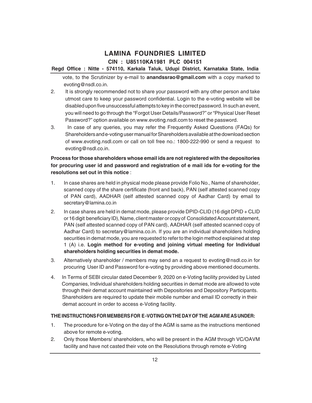### **Regd Office : Nitte - 574110, Karkala Taluk, Udupi District, Karnataka State, India**

 vote, to the Scrutinizer by e-mail to **anandssrao@gmail.com** with a copy marked to evoting@nsdl.co.in.

- 2. It is strongly recommended not to share your password with any other person and take utmost care to keep your password confidential. Login to the e-voting website will be disabled upon five unsuccessful attempts to key in the correct password. In such an event, you will need to go through the "Forgot User Details/Password?" or "Physical User Reset Password?" option available on www.evoting.nsdl.com to reset the password.
- 3. In case of any queries, you may refer the Frequently Asked Questions (FAQs) for Shareholders and e-voting user manual for Shareholders available at the download section of www.evoting.nsdl.com or call on toll free no.: 1800-222-990 or send a request to evoting@nsdl.co.in.

### **Process for those shareholders whose email ids are not registered with the depositories for procuring user id and password and registration of e mail ids for e-voting for the resolutions set out in this notice** :

- 1. In case shares are held in physical mode please provide Folio No., Name of shareholder, scanned copy of the share certificate (front and back), PAN (self attested scanned copy of PAN card), AADHAR (self attested scanned copy of Aadhar Card) by email to secretary@lamina.co.in
- 2. In case shares are held in demat mode, please provide DPID-CLID (16 digit DPID + CLID or 16 digit beneficiary ID), Name, client master or copy of Consolidated Account statement, PAN (self attested scanned copy of PAN card), AADHAR (self attested scanned copy of Aadhar Card) to secretary@lamina.co.in. If you are an individual shareholders holding securities in demat mode, you are requested to refer to the login method explained at step 1 (A) i.e. **Login method for e-voting and joining virtual meeting for Individual shareholders holding securities in demat mode.**
- 3. Alternatively shareholder / members may send an a request to evoting@nsdl.co.in for procuring User ID and Password for e-voting by providing above mentioned documents.
- 4.In Terms of SEBI circular dated December 9, 2020 on e-Voting facility provided by Listed Companies, Individual shareholders holding securities in demat mode are allowed to vote through their demat account maintained with Depositories and Depository Participants. Shareholders are required to update their mobile number and email ID correctly in their demat account in order to access e-Voting facility.

### **THE INSTRUCTIONS FOR MEMBERS FOR E -VOTING ON THE DAY OF THE AGM ARE AS UNDER:**

- 1. The procedure for e-Voting on the day of the AGM is same as the instructions mentioned above for remote e-voting.
- 2. Only those Members/ shareholders, who will be present in the AGM through VC/OAVM facility and have not casted their vote on the Resolutions through remote e-Voting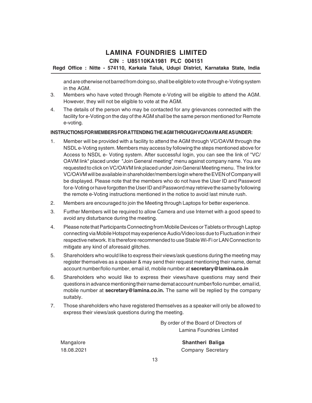### **Regd Office : Nitte - 574110, Karkala Taluk, Udupi District, Karnataka State, India**

and are otherwise not barred from doing so, shall be eligible to vote through e-Voting system in the AGM.

- 3. Members who have voted through Remote e-Voting will be eligible to attend the AGM. However, they will not be eligible to vote at the AGM.
- 4. The details of the person who may be contacted for any grievances connected with the facility for e-Voting on the day of the AGM shall be the same person mentioned for Remote e-voting.

#### **INSTRUCTIONS FOR MEMBERS FOR ATTENDING THE AGM THROUGH VC/OAVM ARE AS UNDER:**

- 1. Member will be provided with a facility to attend the AGM through VC/OAVM through the NSDL e-Voting system. Members may access by following the steps mentioned above for Access to NSDL e- Voting system. After successful login, you can see the link of "VC/ OAVM link" placed under "Join General meeting" menu against company name. You are requested to click on VC/OAVM link placed under Join General Meeting menu. The link for VC/OAVM will be available in shareholder/members login where the EVEN of Company will be displayed. Please note that the members who do not have the User ID and Password for e-Voting or have forgotten the User ID and Password may retrieve the same by following the remote e-Voting instructions mentioned in the notice to avoid last minute rush.
- 2. Members are encouraged to join the Meeting through Laptops for better experience.
- 3. Further Members will be required to allow Camera and use Internet with a good speed to avoid any disturbance during the meeting.
- 4. Please note that Participants Connecting from Mobile Devices or Tablets or through Laptop connecting via Mobile Hotspot may experience Audio/Video loss due to Fluctuation in their respective network. It is therefore recommended to use Stable Wi-Fi or LAN Connection to mitigate any kind of aforesaid glitches.
- 5. Shareholders who would like to express their views/ask questions during the meeting may register themselves as a speaker & may send their request mentioning their name, demat account number/folio number, email id, mobile number at **secretary@lamina.co.in**
- 6. Shareholders who would like to express their views/have questions may send their questions in advance mentioning their name demat account number/folio number, email id, mobile number at **secretary@lamina.co.in.** The same will be replied by the company suitably.
- 7. Those shareholders who have registered themselves as a speaker will only be allowed to express their views/ask questions during the meeting.

By order of the Board of Directors of Lamina Foundries Limited

Mangalore **Shantheri Baliga** 18.08.2021 Company Secretary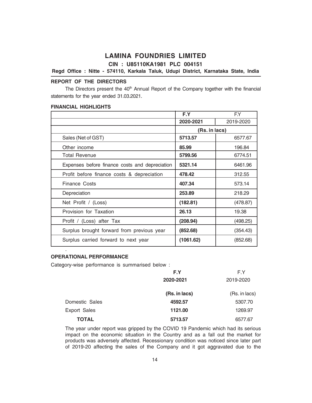**CIN : U85110KA1981 PLC 004151**

### **Regd Office : Nitte - 574110, Karkala Taluk, Udupi District, Karnataka State, India**

### **REPORT OF THE DIRECTORS**

The Directors present the  $40<sup>th</sup>$  Annual Report of the Company together with the financial statements for the year ended 31.03.2021.

#### **FINANCIAL HIGHLIGHTS**

|                                                | F.Y           | F.Y       |
|------------------------------------------------|---------------|-----------|
|                                                | 2020-2021     | 2019-2020 |
|                                                | (Rs. in lacs) |           |
| Sales (Net of GST)                             | 5713.57       | 6577.67   |
| Other income                                   | 85.99         | 196.84    |
| <b>Total Revenue</b>                           | 5799.56       | 6774.51   |
| Expenses before finance costs and depreciation | 5321.14       | 6461.96   |
| Profit before finance costs & depreciation     | 478.42        | 312.55    |
| <b>Finance Costs</b>                           | 407.34        | 573.14    |
| Depreciation                                   | 253.89        | 218.29    |
| Net Profit / (Loss)                            | (182.81)      | (478.87)  |
| Provision for Taxation                         | 26.13         | 19.38     |
| Profit / (Loss) after Tax                      | (208.94)      | (498.25)  |
| Surplus brought forward from previous year     | (852.68)      | (354.43)  |
| Surplus carried forward to next year           | (1061.62)     | (852.68)  |
|                                                |               |           |

#### **OPERATIONAL PERFORMANCE**

Category-wise performance is summarised below :

|                     | F.Y           | F.Y           |
|---------------------|---------------|---------------|
|                     | 2020-2021     | 2019-2020     |
|                     | (Rs. in lacs) | (Rs. in lacs) |
| Domestic Sales      | 4592.57       | 5307.70       |
| <b>Export Sales</b> | 1121.00       | 1269.97       |
| TOTAL               | 5713.57       | 6577.67       |

The year under report was gripped by the COVID 19 Pandemic which had its serious impact on the economic situation in the Country and as a fall out the market for products was adversely affected. Recessionary condition was noticed since later part of 2019-20 affecting the sales of the Company and it got aggravated due to the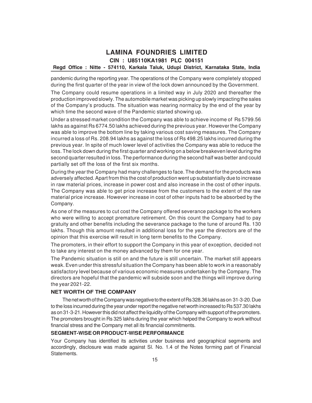### **Regd Office : Nitte - 574110, Karkala Taluk, Udupi District, Karnataka State, India**

pandemic during the reporting year. The operations of the Company were completely stopped during the first quarter of the year in view of the lock down announced by the Government.

The Company could resume operations in a limited way in July 2020 and thereafter the production improved slowly. The automobile market was picking up slowly impacting the sales of the Company's products. The situation was nearing normalcy by the end of the year by which time the second wave of the Pandemic started showing up.

Under a stressed market condition the Company was able to achieve income of Rs 5799.56 lakhs as against Rs 6774.50 lakhs achieved during the previous year. However the Company was able to improve the bottom line by taking various cost saving measures. The Company incurred a loss of Rs. 208.94 lakhs as against the loss of Rs 498.25 lakhs incurred during the previous year. In spite of much lower level of activities the Company was able to reduce the loss. The lock down during the first quarter and working on a below breakeven level during the second quarter resulted in loss. The performance during the second half was better and could partially set off the loss of the first six months.

During the year the Company had many challenges to face. The demand for the products was adversely affected. Apart from this the cost of production went up substantially due to increase in raw material prices, increase in power cost and also increase in the cost of other inputs. The Company was able to get price increase from the customers to the extent of the raw material price increase. However increase in cost of other inputs had to be absorbed by the Company.

As one of the measures to cut cost the Company offered severance package to the workers who were willing to accept premature retirement. On this count the Company had to pay gratuity and other benefits including the severance package to the tune of around Rs. 130 lakhs. Though this amount resulted in additional loss for the year the directors are of the opinion that this exercise will result in long term benefits to the Company.

The promoters, in their effort to support the Company in this year of exception, decided not to take any interest on the money advanced by them for one year.

The Pandemic situation is still on and the future is still uncertain. The market still appears weak. Even under this stressful situation the Company has been able to work in a reasonably satisfactory level because of various economic measures undertaken by the Company. The directors are hopeful that the pandemic will subside soon and the things will improve during the year 2021-22.

### **NET WORTH OF THE COMPANY**

The net worth of the Company was negative to the extent of Rs 328.36 lakhs as on 31-3-20. Due to the loss incurred during the year under report the negative net worth increased to Rs 537.30 lakhs as on 31-3-21. However this did not affect the liquidity of the Company with support of the promoters. The promoters brought in Rs 325 lakhs during the year which helped the Company to work without financial stress and the Company met all its financial commitments.

### **SEGMENT-WISEOR PRODUCT-WISEPERFORMANCE**

Your Company has identified its activities under business and geographical segments and accordingly, disclosure was made against Sl. No. 1.4 of the Notes forming part of Financial Statements.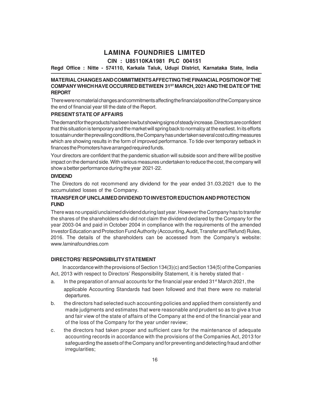### **CIN : U85110KA1981 PLC 004151**

### **Regd Office : Nitte - 574110, Karkala Taluk, Udupi District, Karnataka State, India**

### **MATERIAL CHANGES AND COMMITMENTS AFFECTING THE FINANCIAL POSITION OF THE COMPANY WHICH HAVE OCCURRED BETWEEN 31ST MARCH, 2021 AND THE DATE OF THE REPORT**

There were no material changes and commitments affecting the financial position of the Company since the end of financial year till the date of the Report.

### **PRESENT STATE OF AFFAIRS**

The demand for the products has been low but showing signs of steady increase. Directors are confident that this situation is temporary and the market will spring back to normalcy at the earliest. In its efforts to sustain under the prevailing conditions, the Company has under taken several cost cutting measures which are showing results in the form of improved performance. To tide over temporary setback in finances the Promoters have arranged required funds.

Your directors are confident that the pandemic situation will subside soon and there will be positive impact on the demand side. With various measures undertaken to reduce the cost, the company will show a better performance during the year 2021-22.

### **DIVIDEND**

The Directors do not recommend any dividend for the year ended 31.03.2021 due to the accumulated losses of the Company.

#### **TRANSFER OF UNCLAIMED DIVIDEND TO INVESTOR EDUCTION AND PROTECTION FUND**

There was no unpaid/unclaimed dividend during last year. However the Company has to transfer the shares of the shareholders who did not claim the dividend declared by the Company for the year 2003-04 and paid in October 2004 in compliance with the requirements of the amended Investor Education and Protection Fund Authority (Accounting, Audit, Transfer and Refund) Rules, 2016. The details of the shareholders can be accessed from the Company's website: www.laminafoundries.com

#### **DIRECTORS' RESPONSIBILITY STATEMENT**

In accordance with the provisions of Section 134(3)(c) and Section 134(5) of the Companies Act, 2013 with respect to Directors' Responsibility Statement, it is hereby stated that -

- a. In the preparation of annual accounts for the financial year ended 31<sup>st</sup> March 2021, the applicable Accounting Standards had been followed and that there were no material departures.
- b. the directors had selected such accounting policies and applied them consistently and made judgments and estimates that were reasonable and prudent so as to give a true and fair view of the state of affairs of the Company at the end of the financial year and of the loss of the Company for the year under review;
- c. the directors had taken proper and sufficient care for the maintenance of adequate accounting records in accordance with the provisions of the Companies Act, 2013 for safeguarding the assets of the Company and for preventing and detecting fraud and other irregularities;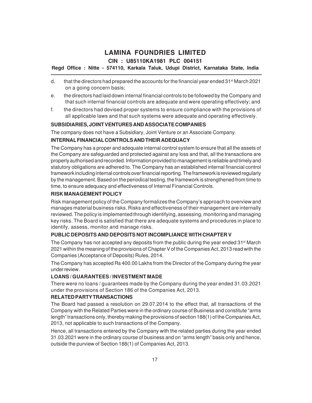### **Regd Office : Nitte - 574110, Karkala Taluk, Udupi District, Karnataka State, India**

- d. that the directors had prepared the accounts for the financial year ended  $31<sup>st</sup>$  March 2021 on a going concern basis;
- e. the directors had laid down internal financial controls to be followed by the Company and that such internal financial controls are adequate and were operating effectively; and
- f. the directors had devised proper systems to ensure compliance with the provisions of all applicable laws and that such systems were adequate and operating effectively.

### **SUBSIDIARIES, JOINT VENTURES AND ASSOCIATE COMPANIES**

The company does not have a Subsidiary, Joint Venture or an Associate Company.

### **INTERNAL FINANCIAL CONTROLS AND THEIR ADEQUACY**

The Company has a proper and adequate internal control system to ensure that all the assets of the Company are safeguarded and protected against any loss and that, all the transactions are properly authorised and recorded. Information provided to management is reliable and timely and statutory obligations are adhered to. The Company has an established internal financial control framework including internal controls over financial reporting. The framework is reviewed regularly by the management. Based on the periodical testing, the framework is strengthened from time to time, to ensure adequacy and effectiveness of Internal Financial Controls.

### **RISK MANAGEMENT POLICY**

Risk management policy of the Company formalizes the Company's approach to overview and manages material business risks. Risks and effectiveness of their management are internally reviewed. The policy is implemented through identifying, assessing, monitoring and managing key risks. The Board is satisfied that there are adequate systems and procedures in place to identify, assess, monitor and manage risks.

### **PUBLIC DEPOSITS AND DEPOSITS NOT INCOMPLIANCE WITH CHAPTER V**

The Company has not accepted any deposits from the public during the year ended  $31<sup>st</sup>$  March 2021 within the meaning of the provisions of Chapter V of the Companies Act, 2013 read with the Companies (Acceptance of Deposits) Rules, 2014.

The Company has accepted Rs 400.00 Lakhs from the Director of the Company during the year under review.

#### **LOANS / GUARANTEES / INVESTMENT MADE**

There were no loans / guarantees made by the Company during the year ended 31.03.2021 under the provisions of Section 186 of the Companies Act, 2013.

#### **RELATED PARTY TRANSACTIONS**

The Board had passed a resolution on 29.07.2014 to the effect that, all transactions of the Company with the Related Parties were in the ordinary course of Business and constitute "arms length" transactions only, thereby making the provisions of section 188(1) of the Companies Act, 2013, not applicable to such transactions of the Company.

Hence, all transactions entered by the Company with the related parties during the year ended 31.03.2021 were in the ordinary course of business and on "arms length" basis only and hence, outside the purview of Section 188(1) of Companies Act, 2013.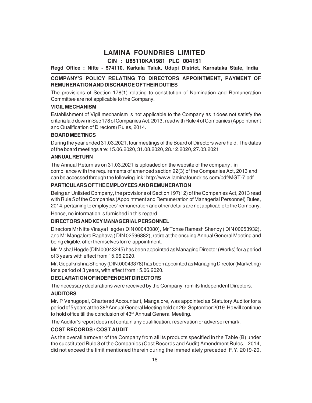### **CIN : U85110KA1981 PLC 004151**

**Regd Office : Nitte - 574110, Karkala Taluk, Udupi District, Karnataka State, India**

### **COMPANY'S POLICY RELATING TO DIRECTORS APPOINTMENT, PAYMENT OF REMUNERATION AND DISCHARGE OF THEIR DUTIES**

The provisions of Section 178(1) relating to constitution of Nomination and Remuneration Committee are not applicable to the Company.

### **VIGIL MECHANISM**

Establishment of Vigil mechanism is not applicable to the Company as it does not satisfy the criteria laid down in Sec 178 of Companies Act, 2013 , read with Rule 4 of Companies (Appointment and Qualification of Directors) Rules, 2014.

### **BOARD MEETINGS**

During the year ended 31.03.2021, four meetings of the Board of Directors were held. The dates of the board meetings are: 15.06.2020, 31.08.2020, 28.12.2020, 27.03.2021

### **ANNUAL RETURN**

The Annual Return as on 31.03.2021 is uploaded on the website of the company , in compliance with the requirements of amended section 92(3) of the Companies Act, 2013 and can be accessed through the following link : http://www.laminafoundries.com/pdf/MGT-7.pdf

### **PARTICULARS OF THE EMPLOYEES AND REMUNERATION**

Being an Unlisted Company, the provisions of Section 197(12) of the Companies Act, 2013 read with Rule 5 of the Companies (Appointment and Remuneration of Managerial Personnel) Rules, 2014, pertaining to employees' remuneration and other details are not applicable to the Company.

Hence, no information is furnished in this regard.

### **DIRECTORS AND KEY MANAGERIAL PERSONNEL**

Directors Mr Nitte Vinaya Hegde ( DIN 00043080), Mr Tonse Ramesh Shenoy ( DIN 00053932), and Mr Mangalore Raghava ( DIN 02596882), retire at the ensuing Annual General Meeting and being eligible, offer themselves for re-appointment.

Mr. Vishal Hegde (DIN 00043245) has been appointed as Managing Director (Works) for a period of 3 years with effect from 15.06.2020.

Mr. Gopalkrishna Shenoy (DIN:00043378) has been appointed as Managing Director (Marketing) for a period of 3 years, with effect from 15.06.2020.

### **DECLARATION OF INDEPENDENT DIRECTORS**

The necessary declarations were received by the Company from its Independent Directors.

### **AUDITORS**

Mr. P Venugopal, Chartered Accountant, Mangalore, was appointed as Statutory Auditor for a period of 5 years at the 38<sup>th</sup> Annual General Meeting held on 26<sup>th</sup> September 2019. He will continue to hold office till the conclusion of 43<sup>rd</sup> Annual General Meeting.

The Auditor's report does not contain any qualification, reservation or adverse remark.

#### **COST RECORDS / COST AUDIT**

As the overall turnover of the Company from all its products specified in the Table (B) under the substituted Rule 3 of the Companies (Cost Records and Audit) Amendment Rules, 2014, did not exceed the limit mentioned therein during the immediately preceded F.Y. 2019-20,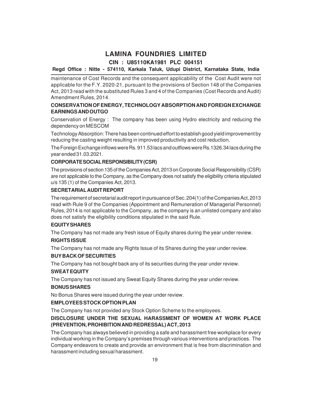### **Regd Office : Nitte - 574110, Karkala Taluk, Udupi District, Karnataka State, India**

maintenance of Cost Records and the consequent applicability of the Cost Audit were not applicable for the F.Y. 2020-21, pursuant to the provisions of Section 148 of the Companies Act, 2013 read with the substituted Rules 3 and 4 of the Companies (Cost Records and Audit) Amendment Rules, 2014.

### **CONSERVATION OF ENERGY, TECHNOLOGY ABSORPTION AND FOREIGN EXCHANGE EARNINGS AND OUTGO**

Conservation of Energy : The company has been using Hydro electricity and reducing the dependency on MESCOM

Technology Absorption: There has been continued effort to establish good yield improvement by reducing the casting weight resulting in improved productivity and cost reduction.

The Foreign Exchange inflows were Rs. 911.53 lacs and outflows were Rs.1326.34 lacs during the year ended 31.03.2021.

### **CORPORATE SOCIAL RESPONSIBILITY (CSR)**

The provisions of section 135 of the Companies Act, 2013 on Corporate Social Responsibility (CSR) are not applicable to the Company, as the Company does not satisfy the eligibility criteria stipulated u/s 135 (1) of the Companies Act, 2013.

### **SECRETARIAL AUDIT REPORT**

The requirement of secretarial audit report in pursuance of Sec. 204(1) of the Companies Act, 2013 read with Rule 9 of the Companies (Appointment and Remuneration of Managerial Personnel) Rules, 2014 is not applicable to the Company, as the company is an unlisted company and also does not satisfy the eligibility conditions stipulated in the said Rule.

### **EQUITY SHARES**

The Company has not made any fresh issue of Equity shares during the year under review.

#### **RIGHTS ISSUE**

The Company has not made any Rights Issue of its Shares during the year under review.

#### **BUY BACK OF SECURITIES**

The Company has not bought back any of its securities during the year under review.

#### **SWEAT EQUITY**

The Company has not issued any Sweat Equity Shares during the year under review.

### **BONUS SHARES**

No Bonus Shares were issued during the year under review.

#### **EMPLOYEES STOCK OPTION PLAN**

The Company has not provided any Stock Option Scheme to the employees.

### **DISCLOSURE UNDER THE SEXUAL HARASSMENT OF WOMEN AT WORK PLACE (PREVENTION, PROHIBITION AND REDRESSAL) ACT, 2013**

The Company has always believed in providing a safe and harassment free workplace for every individual working in the Company's premises through various interventions and practices. The Company endeavors to create and provide an environment that is free from discrimination and harassment including sexual harassment.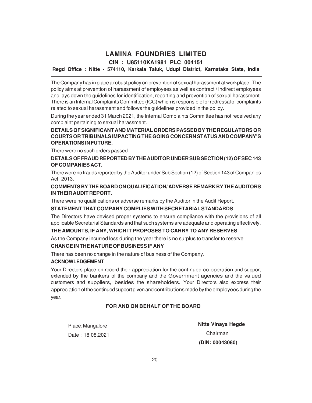### **Regd Office : Nitte - 574110, Karkala Taluk, Udupi District, Karnataka State, India**

The Company has in place a robust policy on prevention of sexual harassment at workplace. The policy aims at prevention of harassment of employees as well as contract / indirect employees and lays down the guidelines for identification, reporting and prevention of sexual harassment. There is an Internal Complaints Committee (ICC) which is responsible for redressal of complaints related to sexual harassment and follows the guidelines provided in the policy.

During the year ended 31 March 2021, the Internal Complaints Committee has not received any complaint pertaining to sexual harassment.

### **DETAILS OF SIGNIFICANT AND MATERIAL ORDERS PASSED BY THE REGULATORS OR COURTS OR TRIBUNALS IMPACTING THE GOING CONCERN STATUS AND COMPANY'S OPERATIONS IN FUTURE.**

There were no such orders passed.

### **DETAILS OF FRAUD REPORTED BY THE AUDITOR UNDER SUB SECTION (12) OF SEC 143 OF COMPANIES ACT.**

There were no frauds reported by the Auditor under Sub Section (12) of Section 143 of Companies Act, 2013.

### **COMMENTS BY THE BOARD ON QUALIFICATION/ ADVERSE REMARK BY THE AUDITORS IN THEIR AUDIT REPORT.**

There were no qualifications or adverse remarks by the Auditor in the Audit Report.

#### **STATEMENT THAT COMPANY COMPLIES WITH SECRETARIAL STANDARDS**

The Directors have devised proper systems to ensure compliance with the provisions of all applicable Secretarial Standards and that such systems are adequate and operating effectively.

### **THE AMOUNTS, IF ANY, WHICH IT PROPOSES TO CARRY TO ANY RESERVES**

As the Company incurred loss during the year there is no surplus to transfer to reserve

#### **CHANGE IN THE NATURE OF BUSINESS IF ANY**

There has been no change in the nature of business of the Company.

#### **ACKNOWLEDGEMENT**

Your Directors place on record their appreciation for the continued co-operation and support extended by the bankers of the company and the Government agencies and the valued customers and suppliers, besides the shareholders. Your Directors also express their appreciation of the continued support given and contributions made by the employees during the year.

### **FOR AND ON BEHALF OF THE BOARD**

Place: Mangalore Date : 18.08.2021  **Nitte Vinaya Hegde** Chairman  **(DIN: 00043080)**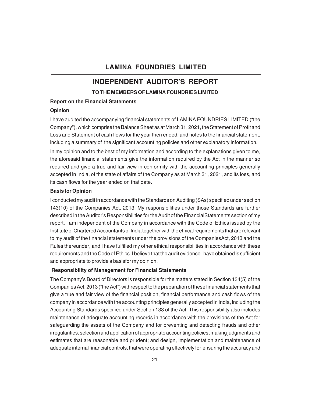### **INDEPENDENT AUDITOR'S REPORT**

**TO THE MEMBERS OF LAMINA FOUNDRIES LIMITED**

#### **Report on the Financial Statements**

#### **Opinion**

I have audited the accompanying financial statements of LAMINA FOUNDRIES LIMITED ("the Company"), which comprise the Balance Sheet as at March 31, 2021, the Statement of Profit and Loss and Statement of cash flows for the year then ended, and notes to the financial statement, including a summary of the significant accounting policies and other explanatory information.

In my opinion and to the best of my information and according to the explanations given to me, the aforesaid financial statements give the information required by the Act in the manner so required and give a true and fair view in conformity with the accounting principles generally accepted in India, of the state of affairs of the Company as at March 31, 2021, and its loss, and its cash flows for the year ended on that date.

#### **Basis for Opinion**

I conducted my audit in accordance with the Standards on Auditing (SAs) specified under section 143(10) of the Companies Act, 2013. My responsibilities under those Standards are further described in the Auditor's Responsibilities for the Audit of the FinancialStatements section of my report. I am independent of the Company in accordance with the Code of Ethics issued by the Institute of Chartered Accountants of India together with the ethical requirements that are relevant to my audit of the financial statements under the provisions of the CompaniesAct, 2013 and the Rules thereunder, and I have fulfilled my other ethical responsibilities in accordance with these requirements and the Code of Ethics. I believe that the audit evidence I have obtained is sufficient and appropriate to provide a basisfor my opinion.

### **Responsibility of Management for Financial Statements**

The Company's Board of Directors is responsible for the matters stated in Section 134(5) of the Companies Act, 2013 ("the Act") withrespect to the preparation of these financial statements that give a true and fair view of the financial position, financial performance and cash flows of the company in accordance with the accounting principles generally accepted in India, including the Accounting Standards specified under Section 133 of the Act. This responsibility also includes maintenance of adequate accounting records in accordance with the provisions of the Act for safeguarding the assets of the Company and for preventing and detecting frauds and other irregularities; selection and application of appropriate accounting policies; making judgments and estimates that are reasonable and prudent; and design, implementation and maintenance of adequate internal financial controls, that were operating effectively for ensuring the accuracy and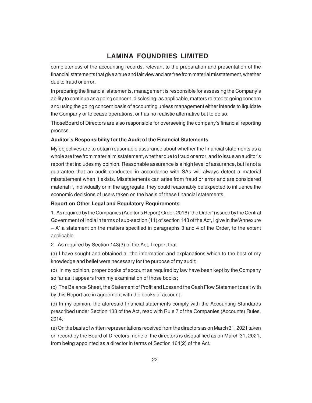completeness of the accounting records, relevant to the preparation and presentation of the financial statements that give a true and fair view and are free from material misstatement, whether due to fraud or error.

In preparing the financial statements, management is responsible for assessing the Company's ability to continue as a going concern, disclosing, as applicable, matters related to going concern and using the going concern basis of accounting unless management either intends to liquidate the Company or to cease operations, or has no realistic alternative but to do so.

ThoseBoard of Directors are also responsible for overseeing the company's financial reporting process.

### **Auditor's Responsibility for the Audit of the Financial Statements**

My objectives are to obtain reasonable assurance about whether the financial statements as a whole are free from material misstatement, whether due to fraud or error, and to issue an auditor's report that includes my opinion. Reasonable assurance is a high level of assurance, but is not a guarantee that an audit conducted in accordance with SAs will always detect a material misstatement when it exists. Misstatements can arise from fraud or error and are considered material if, individually or in the aggregate, they could reasonably be expected to influence the economic decisions of users taken on the basis of these financial statements.

### **Report on Other Legal and Regulatory Requirements**

1. As required by the Companies (Auditor's Report) Order, 2016 ("the Order") issued by the Central Government of India in terms of sub-section (11) of section 143 of the Act, I give in the'Annexure – A' a statement on the matters specified in paragraphs 3 and 4 of the Order, to the extent applicable.

2. As required by Section 143(3) of the Act, I report that:

(a) I have sought and obtained all the information and explanations which to the best of my knowledge and belief were necessary for the purpose of my audit;

(b) In my opinion, proper books of account as required by law have been kept by the Company so far as it appears from my examination of those books;

(c) The Balance Sheet, the Statement of Profit and Lossand the Cash Flow Statement dealt with by this Report are in agreement with the books of account;

(d) In my opinion, the aforesaid financial statements comply with the Accounting Standards prescribed under Section 133 of the Act, read with Rule 7 of the Companies (Accounts) Rules, 2014;

(e) On the basis of written representations received from the directors as on March 31, 2021 taken on record by the Board of Directors, none of the directors is disqualified as on March 31, 2021, from being appointed as a director in terms of Section 164(2) of the Act.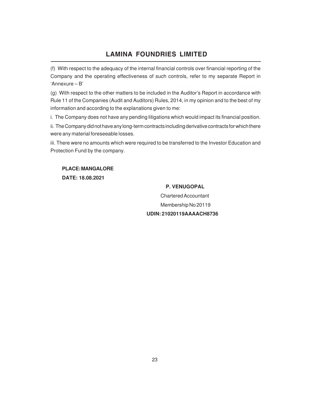(f) With respect to the adequacy of the internal financial controls over financial reporting of the Company and the operating effectiveness of such controls, refer to my separate Report in 'Annexure – B'

(g) With respect to the other matters to be included in the Auditor's Report in accordance with Rule 11 of the Companies (Audit and Auditors) Rules, 2014, in my opinion and to the best of my information and according to the explanations given to me:

i. The Company does not have any pending litigations which would impact its financial position.

ii. The Company did not have any long-term contracts including derivative contracts for which there were any material foreseeable losses.

iii. There were no amounts which were required to be transferred to the Investor Education and Protection Fund by the company.

**PLACE: MANGALORE DATE: 18.08.2021**

### **P. VENUGOPAL**

Chartered Accountant Membership No 20119  **UDIN: 21020119AAAACH8736**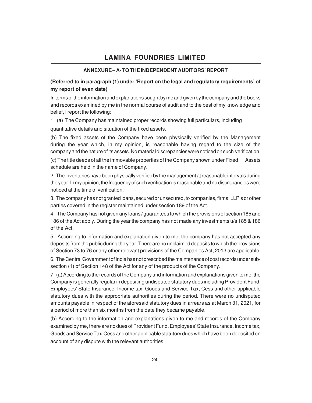#### **ANNEXURE – A- TO THE INDEPENDENT AUDITORS' REPORT**

### **(Referred to in paragraph (1) under 'Report on the legal and regulatory requirements' of my report of even date)**

In terms of the information and explanations sought by me and given by the company and the books and records examined by me in the normal course of audit and to the best of my knowledge and belief, I report the following:

1. (a) The Company has maintained proper records showing full particulars, including

quantitative details and situation of the fixed assets.

(b) The fixed assets of the Company have been physically verified by the Management during the year which, in my opinion, is reasonable having regard to the size of the company and the nature of its assets. No material discrepancies were noticed on such verification.

(c) The title deeds of all the immovable properties of the Company shown under Fixed Assets schedule are held in the name of Company.

2. The inventories have been physically verified by the management at reasonable intervals during the year. In my opinion, the frequency of such verification is reasonable and no discrepancies were noticed at the time of verification.

3. The company has not granted loans, secured or unsecured, to companies, firms, LLP's or other parties covered in the register maintained under section 189 of the Act.

4. The Company has not given any loans / guarantees to which the provisions of section 185 and 186 of the Act apply. During the year the company has not made any investments u/s 185 & 186 of the Act.

5. According to information and explanation given to me, the company has not accepted any deposits from the public during the year. There are no unclaimed deposits to which the provisions of Section 73 to 76 or any other relevant provisions of the Companies Act, 2013 are applicable.

6. The Central Government of India has not prescribed the maintenance of cost records under subsection (1) of Section 148 of the Act for any of the products of the Company.

7. (a) According to the records of the Company and information and explanations given to me, the Company is generally regular in depositing undisputed statutory dues including Provident Fund, Employees' State Insurance, Income tax, Goods and Service Tax, Cess and other applicable statutory dues with the appropriate authorities during the period. There were no undisputed amounts payable in respect of the aforesaid statutory dues in arrears as at March 31, 2021, for a period of more than six months from the date they became payable.

(b) According to the information and explanations given to me and records of the Company examined by me, there are no dues of Provident Fund, Employees' State Insurance, Income tax, Goods and Service Tax,Cess and other applicable statutory dues which have been deposited on account of any dispute with the relevant authorities.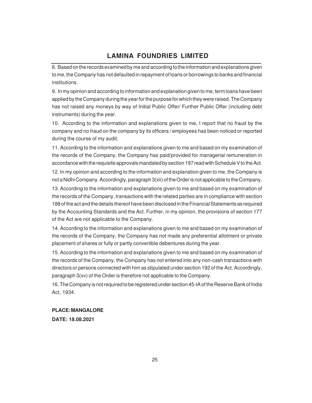8. Based on the records examined by me and according to the information and explanations given to me, the Company has not defaulted in repayment of loans or borrowings to banks and financial institutions.

9. In my opinion and according to information and explanation given to me, term loans have been applied by the Company during the year for the purpose for which they were raised. The Company has not raised any moneys by way of Initial Public Offer/ Further Public Offer (including debt instruments) during the year.

10. According to the information and explanations given to me, I report that no fraud by the company and no fraud on the company by its officers / employees has been noticed or reported during the course of my audit.

11. According to the information and explanations given to me and based on my examination of the records of the Company, the Company has paid/provided for managerial remuneration in accordance with the requisite approvals mandated by section 197 read with Schedule V to the Act.

12. In my opinion and according to the information and explanation given to me, the Company is not a Nidhi Company. Accordingly, paragraph 3(xii) of the Order is not applicable to the Company.

13. According to the information and explanations given to me and based on my examination of the records of the Company, transactions with the related parties are in compliance with section 188 of the act and the details thereof have been disclosed in the Financial Statements as required by the Accounting Standards and the Act. Further, in my opinion, the provisions of section 177 of the Act are not applicable to the Company.

14. According to the information and explanations given to me and based on my examination of the records of the Company, the Company has not made any preferential allotment or private placement of shares or fully or partly convertible debentures during the year.

15. According to the information and explanations given to me and based on my examination of the records of the Company, the Company has not entered into any non-cash transactions with directors or persons connected with him as stipulated under section 192 of the Act. Accordingly, paragraph 3(xv) of the Order is therefore not applicable to the Company.

16. The Company is not required to be registered under section 45-IA of the Reserve Bank of India Act, 1934.

#### **PLACE: MANGALORE**

**DATE: 18.08.2021**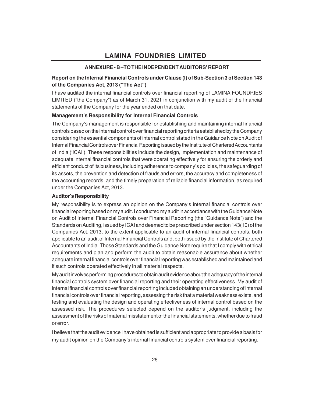### **ANNEXURE - B –TO THE INDEPENDENT AUDITORS' REPORT**

### **Report on the Internal Financial Controls under Clause (I) of Sub-Section 3 of Section 143 of the Companies Act, 2013 ("The Act")**

I have audited the internal financial controls over financial reporting of LAMINA FOUNDRIES LIMITED ("the Company") as of March 31, 2021 in conjunction with my audit of the financial statements of the Company for the year ended on that date.

#### **Management's Responsibility for Internal Financial Controls**

The Company's management is responsible for establishing and maintaining internal financial controls based on the internal control over financial reporting criteria established by the Company considering the essential components of internal control stated in the Guidance Note on Audit of Internal Financial Controls over Financial Reporting issued by the Institute of Chartered Accountants of India ('ICAI'). These responsibilities include the design, implementation and maintenance of adequate internal financial controls that were operating effectively for ensuring the orderly and efficient conduct of its business, including adherence to company's policies, the safeguarding of its assets, the prevention and detection of frauds and errors, the accuracy and completeness of the accounting records, and the timely preparation of reliable financial information, as required under the Companies Act, 2013.

#### **Auditor's Responsibility**

My responsibility is to express an opinion on the Company's internal financial controls over financial reporting based on my audit. I conducted my audit in accordance with the Guidance Note on Audit of Internal Financial Controls over Financial Reporting (the "Guidance Note") and the Standards on Auditing, issued by ICAI and deemed to be prescribed under section 143(10) of the Companies Act, 2013, to the extent applicable to an audit of internal financial controls, both applicable to an audit of Internal Financial Controls and, both issued by the Institute of Chartered Accountants of India. Those Standards and the Guidance Note require that I comply with ethical requirements and plan and perform the audit to obtain reasonable assurance about whether adequate internal financial controls over financial reporting was established and maintained and if such controls operated effectively in all material respects.

My audit involves performing procedures to obtain audit evidence about the adequacy of the internal financial controls system over financial reporting and their operating effectiveness. My audit of internal financial controls over financial reporting included obtaining an understanding of internal financial controls over financial reporting, assessing the risk that a material weakness exists, and testing and evaluating the design and operating effectiveness of internal control based on the assessed risk. The procedures selected depend on the auditor's judgment, including the assessment of the risks of material misstatement of the financial statements, whether due to fraud or error.

I believe that the audit evidence I have obtained is sufficient and appropriate to provide a basis for my audit opinion on the Company's internal financial controls system over financial reporting.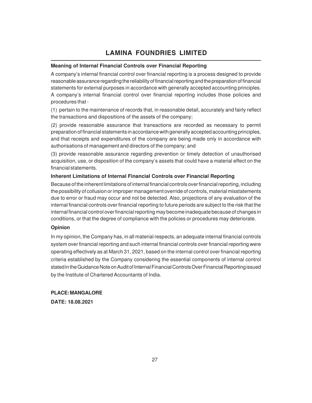### **Meaning of Internal Financial Controls over Financial Reporting**

A company's internal financial control over financial reporting is a process designed to provide reasonable assurance regarding the reliability of financial reporting and the preparation of financial statements for external purposes in accordance with generally accepted accounting principles. A company's internal financial control over financial reporting includes those policies and procedures that -

(1) pertain to the maintenance of records that, in reasonable detail, accurately and fairly reflect the transactions and dispositions of the assets of the company;

(2) provide reasonable assurance that transactions are recorded as necessary to permit preparation of financial statements in accordance with generally accepted accounting principles, and that receipts and expenditures of the company are being made only in accordance with authorisations of management and directors of the company; and

(3) provide reasonable assurance regarding prevention or timely detection of unauthorised acquisition, use, or disposition of the company's assets that could have a material effect on the financial statements.

#### **Inherent Limitations of Internal Financial Controls over Financial Reporting**

Because of the inherent limitations of internal financial controls over financial reporting, including the possibility of collusion or improper management override of controls, material misstatements due to error or fraud may occur and not be detected. Also, projections of any evaluation of the internal financial controls over financial reporting to future periods are subject to the risk that the internal financial control over financial reporting may become inadequate because of changes in conditions, or that the degree of compliance with the policies or procedures may deteriorate.

#### **Opinion**

In my opinion, the Company has, in all material respects, an adequate internal financial controls system over financial reporting and such internal financial controls over financial reporting were operating effectively as at March 31, 2021, based on the internal control over financial reporting criteria established by the Company considering the essential components of internal control stated in the Guidance Note on Audit of Internal Financial Controls Over Financial Reporting issued by the Institute of Chartered Accountants of India.

**PLACE: MANGALORE DATE: 18.08.2021**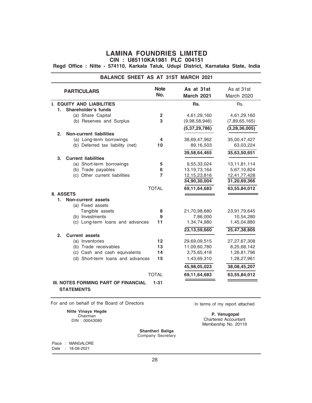**Regd Office : Nitte - 574110, Karkala Taluk, Udupi District, Karnataka State, India**

|                                                              |                              | <b>BALANCE SHEET AS AT 31ST MARCH 2021</b> |                                |
|--------------------------------------------------------------|------------------------------|--------------------------------------------|--------------------------------|
| <b>PARTICULARS</b>                                           | <b>Note</b><br>No.           | As at 31st<br><b>March 2021</b>            | As at 31st<br>March 2020       |
| <b>I. EQUITY AND LIABILITIES</b>                             |                              | Rs.                                        | Rs.                            |
| <b>Shareholder's funds</b><br>1.                             |                              |                                            |                                |
| (a) Share Capital                                            | $\overline{\mathbf{2}}$<br>3 | 4,61,29,160                                | 4,61,29,160                    |
| (b) Reserves and Surplus                                     |                              | (9,98,58,946)                              | (7,89,65,165)                  |
|                                                              |                              | (5,37,29,786)                              | (3, 28, 36, 005)               |
| <b>Non-current liabilities</b><br>2.                         |                              |                                            |                                |
| (a) Long-term borrowings<br>(b) Deferred tax liability (net) | 4<br>10                      | 38,69,47,962                               | 35,00,47,427                   |
|                                                              |                              | 89,16,503                                  | 63,03,224                      |
|                                                              |                              | 39,58,64,465                               | 35,63,50,651                   |
| <b>Current liabilities</b><br>3.                             |                              |                                            |                                |
| (a) Short-term borrowings<br>(b) Trade payables              | 5<br>6                       | 9,55,33,024<br>13, 19, 73, 164             | 13, 11, 81, 114<br>5,67,10,824 |
| (c) Other current liabilities                                | $\overline{7}$               | 12, 15, 23, 816                            | 12,41,77,428                   |
|                                                              |                              | 34,90,30,004                               | 31,20,69,366                   |
|                                                              | <b>TOTAL</b>                 | 69,11,64,683                               | 63,55,84,012                   |
| <b>II. ASSETS</b>                                            |                              |                                            |                                |
| 1.<br>Non-current assets                                     |                              |                                            |                                |
| (a) Fixed assets                                             |                              |                                            |                                |
| Tangible assets                                              | 8                            | 21,70,98,680                               | 23,91,79,645                   |
| (b) Investments                                              | 9                            | 7,86,000                                   | 10,54,280                      |
| (c) Long-term loans and advances                             | 11                           | 1,34,74,980                                | 1,45,04,880                    |
|                                                              |                              | 23,13,59,660                               | 25,47,38,805                   |
| 2.<br><b>Current assets</b>                                  |                              |                                            |                                |
| (a) Inventories                                              | 12                           | 29,69,09,515                               | 27, 27, 67, 308                |
| (b) Trade receivables                                        | 13                           | 11,09,60,780                               | 8,25,68,142                    |
| (c) Cash and cash equivalents                                | 14                           | 3,75,65,418                                | 1,26,81,796                    |
| (d) Short-term loans and advances                            | 15                           | 1,43,69,310                                | 1,28,27,961                    |
|                                                              |                              | 45,98,05,023                               | 38,08,45,207                   |
|                                                              | <b>TOTAL</b>                 | 69,11,64,683                               | 63,55,84,012                   |
| III. NOTES FORMING PART OF FINANCIAL<br><b>STATEMENTS</b>    | $1 - 31$                     |                                            |                                |

For and on behalf of the Board of Directors Interms of my report attached

**Nitte Vinaya Hegde** Chairman DIN : 00043080

 **P. Venugopal** Chartered Accountant Membership No. 20119

**Shantheri Baliga** Company Secretary

Place : MANGALORE Date : 18-08-2021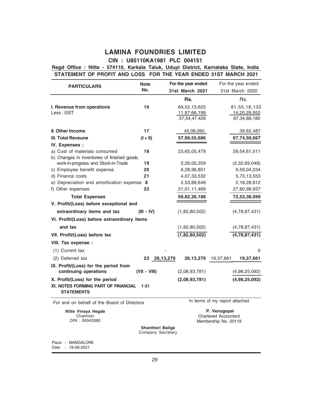### **CIN : U85110KA1981 PLC 004151**

### **STATEMENT OF PROFIT AND LOSS FOR THE YEAR ENDED 31ST MARCH 2021 Regd Office : Nitte - 574110, Karkala Taluk, Udupi District, Karnataka State, India**

|                                                          | <b>Note</b>                           |           | For the year ended |                                | For the year ended |
|----------------------------------------------------------|---------------------------------------|-----------|--------------------|--------------------------------|--------------------|
| <b>PARTICULARS</b>                                       | No.                                   |           | 31st March 2021    |                                | 31st March 2020    |
|                                                          |                                       |           | Rs.                |                                | Rs.                |
| I. Revenue from operations                               | 16                                    |           | 69,52,13,625       |                                | 81,55,18,132       |
| Less: GST                                                |                                       |           | 11,97,66,199       |                                | 14,20,29,952       |
|                                                          |                                       |           | 57,54,47,426       |                                | 67,34,88,180       |
| <b>II. Other Income</b>                                  | 17                                    |           | 45,08,260          |                                | 39,62,487          |
| <b>III. Total Reveune</b>                                | $(I + II)$                            |           | 57,99,55,686       |                                | 67,74,50,667       |
| IV. Expenses :                                           |                                       |           |                    |                                |                    |
| a) Cost of materials consumed                            | 18                                    |           | 23,65,05,479       |                                | 29,54,61,511       |
| b) Changes in inventories of finished goods,             |                                       |           |                    |                                |                    |
| work-in-progress and Stock-in-Trade                      | 19                                    |           | 2,26,00,209        |                                | (2,32,69,048)      |
| c) Employee benefit expense                              | 20                                    |           | 6,28,96,851        |                                | 9,59,04,234        |
| d) Finance costs                                         | 21                                    |           | 4,07,33,532        |                                | 5,73,13,553        |
| e) Depreciation and amortization expense 8               |                                       |           | 2,53,88,648        |                                | 2,18,28,912        |
| f) Other expenses                                        | 22                                    |           | 21,01,11,469       |                                | 27,80,98,937       |
| <b>Total Expenses</b>                                    |                                       |           | 59,82,36,188       |                                | 72,53,38,099       |
| V. Profit/(Loss) before exceptional and                  |                                       |           |                    |                                |                    |
| extraordinary items and tax                              | $(III - IV)$                          |           | (1,82,80,502)      |                                | (4,78,87,431)      |
| VI. Profit/(Loss) before extraordinary items             |                                       |           |                    |                                |                    |
| and tax                                                  |                                       |           | (1,82,80,502)      |                                | (4,78,87,431)      |
| VII. Profit/(Loss) before tax                            |                                       |           | (1,82,80,502)      |                                | (4,78,87,431)      |
| VIII. Tax expense :                                      |                                       |           |                    |                                |                    |
| (1) Current tax                                          |                                       |           |                    |                                | 0                  |
| (2) Deferred tax                                         | 23                                    | 26,13,279 | 26,13,279          | 19,37,661                      | 19,37,661          |
| IX. Profit/(Loss) for the period from                    |                                       |           |                    |                                |                    |
| continuing operations                                    | (VII - VIII)                          |           | (2,08,93,781)      |                                | (4,98,25,092)      |
| X. Profit/(Loss) for the period                          |                                       |           | (2,08,93,781)      |                                | (4,98,25,092)      |
| XI. NOTES FORMING PART OF FINANCIAL<br><b>STATEMENTS</b> | $1 - 31$                              |           |                    |                                |                    |
| For and on behalf of the Board of Directors              |                                       |           |                    | In terms of my report attached |                    |
| Nitte Vinaya Hegde                                       |                                       |           |                    | P. Venugopal                   |                    |
| Chairman<br>DIN: 00043080                                |                                       |           |                    | <b>Chartered Accountant</b>    |                    |
|                                                          |                                       |           |                    | Membership No. 20119           |                    |
|                                                          | Shantheri Baliga<br>Company Secretary |           |                    |                                |                    |

Place : MANGALORE

Date : 18-08-2021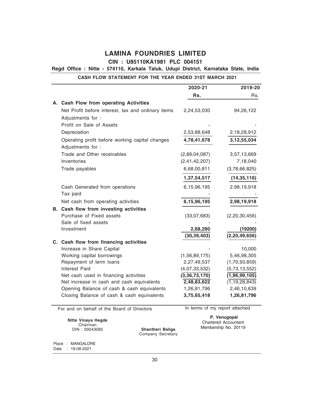### **CIN : U85110KA1981 PLC 004151**

### **Regd Office : Nitte - 574110, Karkala Taluk, Udupi District, Karnataka State, India**

### **CASH FLOW STATEMENT FOR THE YEAR ENDED 31ST MARCH 2021**

|                                                    | 2020-21                    | 2019-20                    |
|----------------------------------------------------|----------------------------|----------------------------|
|                                                    | Rs.                        | Rs.                        |
| A. Cash Flow from operating Activities             |                            |                            |
| Net Profit before interest, tax and ordinary items | 2,24,53,030                | 94,26,122                  |
| Adjustments for :                                  |                            |                            |
| Profit on Sale of Assets                           |                            |                            |
| Depreciation                                       | 2,53,88,648                | 2,18,28,912                |
| Operating profit before working capital changes    | 4,78,41,678                | 3, 12, 55, 034             |
| Adjustments for :                                  |                            |                            |
| Trade and Other receivables                        | (2,89,04,087)              | 3,57,13,669                |
| Inventories                                        | (2,41,42,207)              | 7,18,040                   |
| Trade payables                                     | 6,68,00,811                | (3,78,66,825)              |
|                                                    | 1,37,54,517                | (14, 35, 116)              |
| Cash Generated from operations                     | 6,15,96,195                | 2,98,19,918                |
| Tax paid                                           |                            |                            |
| Net cash from operating activities                 | 6,15,96,195                | 2,98,19,918                |
| B. Cash flow from investing activities             |                            |                            |
| Purchase of Fixed assets                           | (33,07,683)                | (2,20,30,456)              |
| Sale of fixed assets                               |                            |                            |
| Investment                                         | 2,68,280                   | (19200)                    |
|                                                    | (30, 39, 403)              | (2, 20, 49, 656)           |
| C. Cash flow from financing activities             |                            |                            |
| Increase in Share Capital                          |                            | 10,000                     |
| Working capital borrowings                         | (1,56,89,175)              | 5,46,98,305                |
| Repayment of term loans                            | 2,27,49,537                | (1,70,93,859)              |
| Interest Paid                                      | (4,07,33,532)              | (5,73,13,552)              |
| Net cash used in financing activities              | $\overline{(3,36,73,170)}$ | (1,96,99,105)              |
| Net increase in cash and cash equivalents          | 2,48,83,622                | $\overline{(1,19,28,843)}$ |
| Opening Balance of cash & cash equivalents         | 1,26,81,796                | 2,46,10,639                |
| Closing Balance of cash & cash equivalents         | 3,75,65,418                | 1,26,81,796                |

For and on behalf of the Board of Directors

**Nitte Vinaya Hegde** Chairman DIN : 00043080

In terms of my report attached

 **P. Venugopal** Chartered Accountant Membership No. 20119

**Shantheri Baliga** Company Secretary

Place : MANGALORE Date : 18-08-2021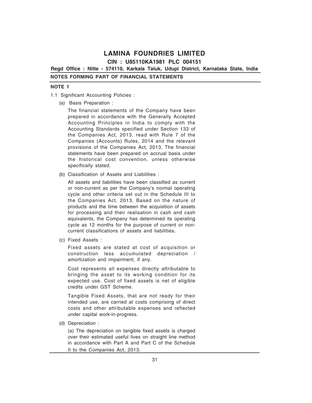**CIN : U85110KA1981 PLC 004151**

**Regd Office : Nitte - 574110, Karkala Taluk, Udupi District, Karnataka State, India**

#### **NOTES FORMING PART OF FINANCIAL STATEMENTS**

#### **NOTE 1**

- 1.1 Significant Accounting Policies :
	- (a) Basis Preparation :

The financial statements of the Company have been prepared in accordance with the Generally Accepted Accounting Principles in India to comply with the Accounting Standards specified under Section 133 of the Companies Act, 2013, read with Rule 7 of the Companies (Accounts) Rules, 2014 and the relevant provisions of the Companies Act, 2013. The financial statements have been prepared on accrual basis under the historical cost convention, unless otherwise specifically stated.

(b) Classification of Assets and Liabilities :

All assets and liabilities have been classified as current or non-current as per the Company's normal operating cycle and other criteria set out in the Schedule III to the Companies Act, 2013. Based on the nature of products and the time between the acquisition of assets for processing and their realisation in cash and cash equivalents, the Company has determined its operating cycle as 12 months for the purpose of current or noncurrent classifications of assets and liabilities.

(c) Fixed Assets :

Fixed assets are stated at cost of acquisition or construction less accumulated depreciation / amortization and impairment, if any.

Cost represents all expenses directly attributable to bringing the asset to its working condition for its expected use. Cost of fixed assets is net of eligible credits under GST Scheme.

Tangible Fixed Assets, that are not ready for their intended use, are carried at costs comprising of direct costs and other attributable expenses and reflected under capital work-in-progress.

(d) Depreciation :

(a) The depreciation on tangible fixed assets is charged over their estimated useful lives on straight line method in accordance with Part A and Part C of the Schedule II to the Companies Act, 2013.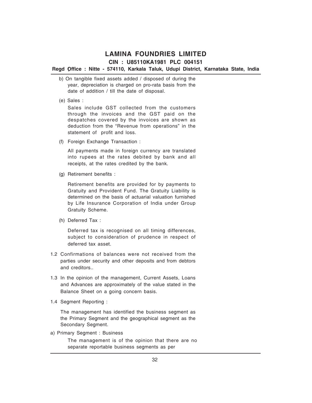### **CIN : U85110KA1981 PLC 004151**

#### **Regd Office : Nitte - 574110, Karkala Taluk, Udupi District, Karnataka State, India** (

- b) On tangible fixed assets added / disposed of during the year, depreciation is charged on pro-rata basis from the date of addition / till the date of disposal.
- (e) Sales :

Sales include GST collected from the customers through the invoices and the GST paid on the despatches covered by the invoices are shown as deduction from the "Revenue from operations" in the statement of profit and loss.

(f) Foreign Exchange Transaction :

All payments made in foreign currency are translated into rupees at the rates debited by bank and all receipts, at the rates credited by the bank.

(g) Retirement benefits :

Retirement benefits are provided for by payments to Gratuity and Provident Fund. The Gratuity Liability is determined on the basis of actuarial valuation furnished by Life Insurance Corporation of India under Group Gratuity Scheme.

(h) Deferred Tax :

Deferred tax is recognised on all timing differences, subject to consideration of prudence in respect of deferred tax asset.

- 1.2 Confirmations of balances were not received from the parties under security and other deposits and from debtors and creditors..
- 1.3 In the opinion of the management, Current Assets, Loans and Advances are approximately of the value stated in the Balance Sheet on a going concern basis.
- 1.4 Segment Reporting :

The management has identified the business segment as the Primary Segment and the geographical segment as the Secondary Segment.

a) Primary Segment : Business

The management is of the opinion that there are no separate reportable business segments as per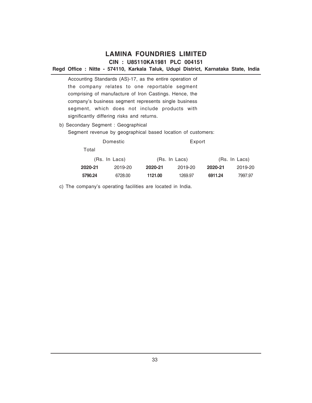### **Regd Office : Nitte - 574110, Karkala Taluk, Udupi District, Karnataka State, India**

Accounting Standards (AS)-17, as the entire operation of the company relates to one reportable segment comprising of manufacture of Iron Castings. Hence, the company's business segment represents single business segment, which does not include products with significantly differing risks and returns.

b) Secondary Segment : Geographical

Segment revenue by geographical based location of customers:

|         | Domestic      | Export  |               |         |               |
|---------|---------------|---------|---------------|---------|---------------|
| Total   |               |         |               |         |               |
|         | (Rs. In Lacs) |         | (Rs. In Lacs) |         | (Rs. In Lacs) |
| 2020-21 | 2019-20       | 2020-21 | 2019-20       | 2020-21 | 2019-20       |
| 5790.24 | 6728.00       | 1121.00 | 1269.97       | 6911.24 | 7997.97       |

c) The company's operating facilities are located in India.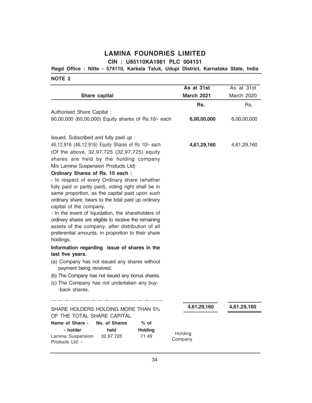### **Regd Office : Nitte - 574110, Karkala Taluk, Udupi District, Karnataka State, India**

|                                                                                                                                                                                                                                                                                                                                                                                                                                                                                                                                                                     | As at 31st         | As at 31st         |
|---------------------------------------------------------------------------------------------------------------------------------------------------------------------------------------------------------------------------------------------------------------------------------------------------------------------------------------------------------------------------------------------------------------------------------------------------------------------------------------------------------------------------------------------------------------------|--------------------|--------------------|
| Share capital                                                                                                                                                                                                                                                                                                                                                                                                                                                                                                                                                       | <b>March 2021</b>  | March 2020         |
| Authorised Share Capital:<br>60,00,000 (60,00,000) Equity shares of Rs.10/- each                                                                                                                                                                                                                                                                                                                                                                                                                                                                                    | Rs.<br>6,00,00,000 | Rs.<br>6,00,00,000 |
| Issued, Subscribed and fully paid up :<br>46,12,916 (46,12,916) Equity Shares of Rs 10/- each<br>(Of the above, 32,97,725 (32,97,725) equity<br>shares are held by the holding company<br>M/s Lamina Suspension Products Ltd)<br>Ordinary Shares of Rs. 10 each:<br>- In respect of every Ordinary share (whether<br>fully paid or partly paid), voting right shall be in<br>same proportion, as the capital paid upon such<br>ordinary share, bears to the total paid up ordinary<br>capital of the company.<br>- In the event of liquidation, the shareholders of | 4,61,29,160        | 4,61,29,160        |
| ordinary shares are eligible to receive the remaining<br>assets of the company, after distribution of all<br>preferential amounts, in proportion to their share<br>holdings.                                                                                                                                                                                                                                                                                                                                                                                        |                    |                    |
| Information regarding issue of shares in the<br>last five years.<br>(a) Company has not issued any shares without<br>payment being received.<br>(b) The Company has not issued any bonus shares.<br>(c) The Company has not undertaken any buy-<br>-back shares.                                                                                                                                                                                                                                                                                                    |                    |                    |
| SHARE HOLDERS HOLDING MORE THAN 5%<br>OF THE TOTAL SHARE CAPITAL<br>Name of Share -<br>No. of Shares<br>$%$ of<br>- holder<br><b>Holding</b><br>held                                                                                                                                                                                                                                                                                                                                                                                                                | 4,61,29,160        | 4,61,29,160        |
| Lamina Suspension<br>32,97,725<br>71.49<br>Products Ltd. -                                                                                                                                                                                                                                                                                                                                                                                                                                                                                                          | Holding<br>Company |                    |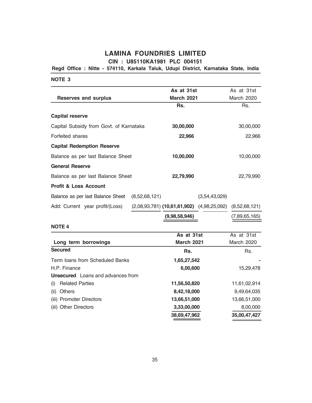**CIN : U85110KA1981 PLC 004151**

**Regd Office : Nitte - 574110, Karkala Taluk, Udupi District, Karnataka State, India**

**NOTE 3**

|                                         | As at 31st                                     |               | As at 31st        |
|-----------------------------------------|------------------------------------------------|---------------|-------------------|
| Reserves and surplus                    | <b>March 2021</b>                              |               | <b>March 2020</b> |
|                                         | Rs.                                            |               | Rs.               |
| <b>Capital reserve</b>                  |                                                |               |                   |
| Capital Subsidy from Govt. of Karnataka | 30,00,000                                      |               | 30,00,000         |
| Forfeited shares                        | 22,966                                         |               | 22,966            |
| <b>Capital Redemption Reserve</b>       |                                                |               |                   |
| Balance as per last Balance Sheet       | 10,00,000                                      |               | 10,00,000         |
| <b>General Reserve</b>                  |                                                |               |                   |
| Balance as per last Balance Sheet       | 22,79,990                                      |               | 22,79,990         |
| <b>Profit &amp; Loss Account</b>        |                                                |               |                   |
| Balance as per last Balance Sheet       | (8,52,68,121)                                  | (3,54,43,029) |                   |
| Add: Current year profit/(Loss)         | $(2,08,93,781)$ (10,61,61,902) $(4,98,25,092)$ |               | (8,52,68,121)     |
|                                         | (9,98,58,946)                                  |               | (7,89,65,165)     |

|                                          | As at 31st        | As at 31st   |
|------------------------------------------|-------------------|--------------|
| Long term borrowings                     | <b>March 2021</b> | March 2020   |
| <b>Secured</b>                           | Rs.               | Rs.          |
| Term loans from Scheduled Banks          | 1,65,27,542       |              |
| H.P. Finance                             | 6,00,600          | 15,29,478    |
| <b>Unsecured</b> Loans and advances from |                   |              |
| <b>Related Parties</b><br>(i)            | 11,56,50,820      | 11,61,02,914 |
| <b>Others</b><br>(ii)                    | 8,42,18,000       | 9,49,64,035  |
| (iii) Promoter Directors                 | 13,66,51,000      | 13,66,51,000 |
| (iii) Other Directors                    | 3,33,00,000       | 8,00,000     |
|                                          | 38,69,47,962      | 35,00,47,427 |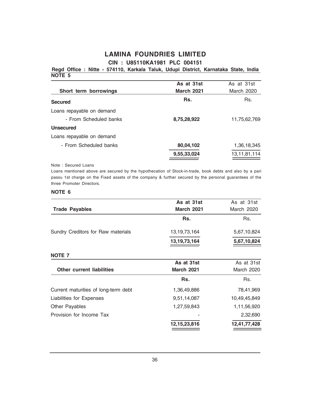### **NOTE 5 Regd Office : Nitte - 574110, Karkala Taluk, Udupi District, Karnataka State, India**

|                           | As at 31st        | As at 31st   |
|---------------------------|-------------------|--------------|
| Short term borrowings     | <b>March 2021</b> | March 2020   |
| <b>Secured</b>            | Rs.               | Rs.          |
| Loans repayable on demand |                   |              |
| - From Scheduled banks    | 8,75,28,922       | 11,75,62,769 |
| Unsecured                 |                   |              |
| Loans repayable on demand |                   |              |
| - From Scheduled banks    | 80,04,102         | 1,36,18,345  |
|                           | 9,55,33,024       | 13,11,81,114 |
|                           |                   |              |

#### Note : Secured Loans

Loans mentioned above are secured by the hypothecation of Stock-in-trade, book debts and also by a pari passu 1st charge on the Fixed assets of the company & further secured by the personal guarantees of the three Promoter Directors.

|                                      | As at 31st        | As at 31st        |  |
|--------------------------------------|-------------------|-------------------|--|
| <b>Trade Payables</b>                | <b>March 2021</b> | March 2020        |  |
|                                      | Rs.               | Rs.               |  |
| Sundry Creditors for Raw materials   | 13, 19, 73, 164   | 5,67,10,824       |  |
|                                      | 13, 19, 73, 164   | 5,67,10,824       |  |
| <b>NOTE 7</b>                        |                   |                   |  |
|                                      | As at 31st        | As at 31st        |  |
| <b>Other current liabilities</b>     | <b>March 2021</b> | <b>March 2020</b> |  |
|                                      | Rs.               | Rs.               |  |
| Current maturities of long-term debt | 1,36,49,886       | 78,41,969         |  |
| Liabilities for Expenses             | 9,51,14,087       | 10,49,45,849      |  |
| Other Payables                       | 1,27,59,843       | 1,11,56,920       |  |
| Provision for Income Tax             |                   | 2,32,690          |  |
|                                      | 12, 15, 23, 816   | 12,41,77,428      |  |
|                                      |                   |                   |  |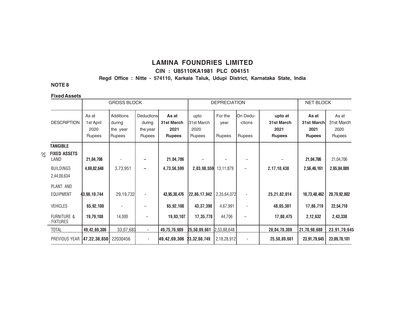#### **CIN : U85110KA1981 PLC 004151**

**Regd Office : Nitte - 574110, Karkala Taluk, Udupi District, Karnataka State, India**

### **NOTE 8**

#### **Fixed Assets**

|           |                                           | <b>GROSS BLOCK</b>                   |                                                  |                                                   | <b>DEPRECIATION</b>                          |                                      |                                  |                               | <b>NET BLOCK</b>                               |                                              |                                              |
|-----------|-------------------------------------------|--------------------------------------|--------------------------------------------------|---------------------------------------------------|----------------------------------------------|--------------------------------------|----------------------------------|-------------------------------|------------------------------------------------|----------------------------------------------|----------------------------------------------|
|           | <b>DESCRIPTION</b>                        | As at<br>1st April<br>2020<br>Rupees | Additions<br>during<br>the year<br><b>Rupees</b> | <b>Deductions</b><br>during<br>the year<br>Rupees | As at<br>31st March<br>2021<br><b>Rupees</b> | upto<br>31st March<br>2020<br>Rupees | For the<br>year<br><b>Rupees</b> | On Dedu-<br>-ctions<br>Rupees | upto at<br>31st March<br>2021<br><b>Rupees</b> | As at<br>31st March<br>2021<br><b>Rupees</b> | As at<br>31st March<br>2020<br><b>Rupees</b> |
|           | <b>TANGIBLE</b>                           |                                      |                                                  |                                                   |                                              |                                      |                                  |                               |                                                |                                              |                                              |
| $\approx$ | <b>FIXED ASSETS</b><br>LAND               | 21,04,706                            |                                                  |                                                   | 21,04,706                                    |                                      |                                  |                               |                                                | 21,04,706                                    | 21,04,706                                    |
|           | <b>BUILDINGS</b><br>2,44,00,634           | 4,69,82,648                          | 3,73,951                                         | -                                                 | 4,73,56,599                                  | 2,03,98,559                          | 13,11,879                        |                               | 2,17,10,438                                    | 2,56,46,161                                  | 2,65,84,089                                  |
|           | PLANT AND<br><b>EQUIPMENT</b>             | 43,66,10,744                         | 29,19,732                                        |                                                   | 43,95,30,476                                 | 22,86,17,942                         | 2,35,64,072                      |                               | 25,21,82,014                                   | 18,73,48,462                                 | 20,79,92,802                                 |
|           | <b>VEHICLES</b>                           | 65,92,100                            |                                                  |                                                   | 65,92,100                                    | 43, 37, 390                          | 4,67,991                         |                               | 48,05,381                                      | 17,86,719                                    | 22,54,710                                    |
|           | <b>FURNITURE &amp;</b><br><b>FIXTURES</b> | 19,79,108                            | 14,000                                           |                                                   | 19,93,107                                    | 17,35,770                            | 44,706                           |                               | 17,80,475                                      | 2,12,632                                     | 2,43,338                                     |
|           | <b>TOTAL</b>                              | 49,42,69,306                         | 33,07,683                                        | $\sim$                                            | 49,75,76,989                                 | 25,50,89,661                         | 2,53,88,648                      |                               | 28,04,78,309                                   | 21,70,98,680                                 | 23,91,79,645                                 |
|           | PREVIOUS YEAR                             | 47, 22, 38, 850                      | 22030456                                         | $\overline{\phantom{a}}$                          | 49,42,69,306                                 | 23,32,60,749                         | 2,18,28,912                      |                               | 25,50,89,661                                   | 23,91,79,645                                 | 23,89,78,101                                 |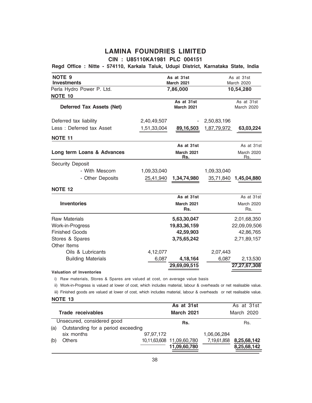### **CIN : U85110KA1981 PLC 004151**

### **Regd Office : Nitte - 574110, Karkala Taluk, Udupi District, Karnataka State, India**

| <b>NOTE 9</b><br><b>Investments</b> | As at 31st<br>As at 31st<br>March 2021<br>March 2020 |                          |             |                          |  |
|-------------------------------------|------------------------------------------------------|--------------------------|-------------|--------------------------|--|
| Perla Hydro Power P. Ltd.           |                                                      | 7,86,000                 |             | 10,54,280                |  |
| <b>NOTE 10</b>                      |                                                      |                          |             |                          |  |
| <b>Deferred Tax Assets (Net)</b>    |                                                      | As at 31st<br>March 2021 |             | As at 31st<br>March 2020 |  |
| Deferred tax liability              | 2,40,49,507                                          |                          | 2,50,83,196 |                          |  |
| Less: Deferred tax Asset            | 1,51,33,004                                          | 89,16,503                | 1,87,79,972 | 63,03,224                |  |
| NOTE 11                             |                                                      |                          |             |                          |  |
|                                     |                                                      | As at 31st               |             | As at 31st               |  |
| Long term Loans & Advances          |                                                      | March 2021<br>Rs.        |             | <b>March 2020</b><br>Rs. |  |
| <b>Security Deposit</b>             |                                                      |                          |             |                          |  |
| - With Mescom                       | 1,09,33,040                                          |                          | 1,09,33,040 |                          |  |
| - Other Deposits                    | 25,41,940                                            | 1,34,74,980              | 35,71,840   | 1,45,04,880              |  |
| <b>NOTE 12</b>                      |                                                      |                          |             |                          |  |
|                                     |                                                      | As at 31st               |             | As at 31st               |  |
| <b>Inventories</b>                  |                                                      | March 2021<br>Rs.        |             | <b>March 2020</b><br>Rs. |  |
| <b>Raw Materials</b>                |                                                      | 5,63,30,047              |             | 2,01,68,350              |  |
| Work-in-Progress                    |                                                      | 19,83,36,159             |             | 22,09,09,506             |  |
| <b>Finished Goods</b>               |                                                      | 42,59,903                |             | 42,86,765                |  |
| Stores & Spares<br>Other Items      |                                                      | 3,75,65,242              |             | 2,71,89,157              |  |
| Oils & Lubricants                   | 4,12,077                                             |                          | 2,07,443    |                          |  |
| <b>Building Materials</b>           | 6,087                                                | 4,18,164                 | 6,087       | 2,13,530                 |  |
|                                     |                                                      | 29,69,09,515             |             | 27,27,67,308             |  |

**Valuation of Inventories**

i) Raw materials, Stores & Spares are valued at cost, on average value basis

ii) Work-in-Progress is valued at lower of cost, which includes material, labour & overheads or net realisable value.

iii) Finished goods are valued at lower of cost, which includes material, labour & overheads or net realisable value.

|     |                                    |           | As at 31st                |             | As at 31st  |
|-----|------------------------------------|-----------|---------------------------|-------------|-------------|
|     | Trade receivables                  |           | <b>March 2021</b>         |             | March 2020  |
|     | Unsecured, considered good         |           | Rs.                       |             | Rs.         |
| (a) | Outstanding for a period exceeding |           |                           |             |             |
|     | six months                         | 97,97,172 |                           | 1,06,06,284 |             |
| (b) | <b>Others</b>                      |           | 10,11,63,608 11,09,60,780 | 7,19,61,858 | 8,25,68,142 |
|     |                                    |           | 11,09,60,780              |             | 8,25,68,142 |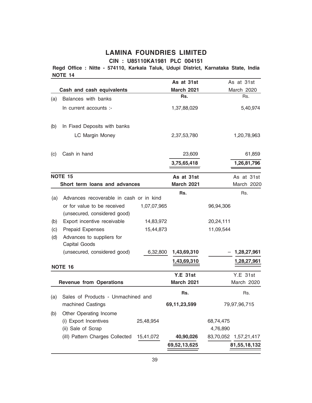### **CIN : U85110KA1981 PLC 004151**

**NOTE 14 Regd Office : Nitte - 574110, Karkala Taluk, Udupi District, Karnataka State, India**

|     |                                                                                                        |             | As at 31st        |           | As at 31st      |
|-----|--------------------------------------------------------------------------------------------------------|-------------|-------------------|-----------|-----------------|
|     | Cash and cash equivalents                                                                              |             | <b>March 2021</b> |           | March 2020      |
| (a) | Balances with banks                                                                                    |             | Rs.               |           | Rs.             |
|     | In current accounts :-                                                                                 |             | 1,37,88,029       |           | 5,40,974        |
| (b) | In Fixed Deposits with banks                                                                           |             |                   |           |                 |
|     | LC Margin Money                                                                                        |             | 2,37,53,780       |           | 1,20,78,963     |
| (c) | Cash in hand                                                                                           |             | 23,609            |           | 61,859          |
|     |                                                                                                        |             | 3,75,65,418       |           | 1,26,81,796     |
|     | NOTE 15                                                                                                |             | As at 31st        |           | As at 31st      |
|     | Short term loans and advances                                                                          |             | <b>March 2021</b> |           | March 2020      |
|     |                                                                                                        |             | Rs.               |           | Rs.             |
| (a) | Advances recoverable in cash or in kind<br>or for value to be received<br>(unsecured, considered good) | 1,07,07,965 |                   | 96,94,306 |                 |
| (b) | Export incentive receivable                                                                            | 14,83,972   |                   | 20,24,111 |                 |
| (c) | <b>Prepaid Expenses</b>                                                                                | 15,44,873   |                   | 11,09,544 |                 |
| (d) | Advances to suppliers for<br>Capital Goods                                                             |             |                   |           |                 |
|     | (unsecured, considered good)                                                                           | 6,32,800    | 1,43,69,310       |           | 1,28,27,961     |
|     | NOTE 16                                                                                                |             | 1,43,69,310       |           | 1,28,27,961     |
|     |                                                                                                        |             | <b>Y.E 31st</b>   |           | <b>Y.E 31st</b> |
|     | <b>Revenue from Operations</b>                                                                         |             | <b>March 2021</b> |           | March 2020      |
| (a) | Sales of Products - Unmachined and                                                                     |             | Rs.               |           | Rs.             |
|     | machined Castings                                                                                      |             | 69,11,23,599      |           | 79,97,96,715    |
| (b) | Other Operating Income                                                                                 |             |                   |           |                 |
|     | (i) Export Incentives                                                                                  | 25,48,954   |                   | 68,74,475 |                 |
|     | (ii) Sale of Scrap                                                                                     |             |                   | 4,76,890  |                 |
|     | (ill) Pattern Charges Collected                                                                        | 15,41,072   | 40,90,026         | 83,70,052 | 1,57,21,417     |
|     |                                                                                                        |             | 69,52,13,625      |           | 81,55,18,132    |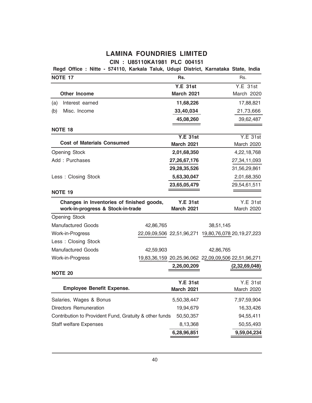### **CIN : U85110KA1981 PLC 004151**

|                                   |                                                                       |                                                                     |                                                        |                                                                                                                                                                                                                                                                                                                                                                             | Rs.           |                                                                                                                                                                                                                             |
|-----------------------------------|-----------------------------------------------------------------------|---------------------------------------------------------------------|--------------------------------------------------------|-----------------------------------------------------------------------------------------------------------------------------------------------------------------------------------------------------------------------------------------------------------------------------------------------------------------------------------------------------------------------------|---------------|-----------------------------------------------------------------------------------------------------------------------------------------------------------------------------------------------------------------------------|
|                                   |                                                                       |                                                                     |                                                        |                                                                                                                                                                                                                                                                                                                                                                             |               | Y.E. 31st                                                                                                                                                                                                                   |
|                                   |                                                                       |                                                                     |                                                        |                                                                                                                                                                                                                                                                                                                                                                             |               | March 2020                                                                                                                                                                                                                  |
|                                   |                                                                       |                                                                     |                                                        |                                                                                                                                                                                                                                                                                                                                                                             |               | 17,88,821                                                                                                                                                                                                                   |
|                                   |                                                                       |                                                                     |                                                        |                                                                                                                                                                                                                                                                                                                                                                             |               | 21,73,666                                                                                                                                                                                                                   |
|                                   |                                                                       |                                                                     |                                                        |                                                                                                                                                                                                                                                                                                                                                                             |               | 39,62,487                                                                                                                                                                                                                   |
|                                   |                                                                       |                                                                     |                                                        |                                                                                                                                                                                                                                                                                                                                                                             |               |                                                                                                                                                                                                                             |
|                                   |                                                                       |                                                                     |                                                        |                                                                                                                                                                                                                                                                                                                                                                             |               | <b>Y.E 31st</b>                                                                                                                                                                                                             |
|                                   |                                                                       |                                                                     |                                                        |                                                                                                                                                                                                                                                                                                                                                                             |               | March 2020                                                                                                                                                                                                                  |
|                                   |                                                                       |                                                                     |                                                        |                                                                                                                                                                                                                                                                                                                                                                             |               | 4,22,18,768                                                                                                                                                                                                                 |
|                                   |                                                                       |                                                                     |                                                        |                                                                                                                                                                                                                                                                                                                                                                             |               | 27,34,11,093                                                                                                                                                                                                                |
|                                   |                                                                       |                                                                     |                                                        |                                                                                                                                                                                                                                                                                                                                                                             | 31,56,29,861  |                                                                                                                                                                                                                             |
|                                   |                                                                       |                                                                     |                                                        |                                                                                                                                                                                                                                                                                                                                                                             |               | 2,01,68,350                                                                                                                                                                                                                 |
|                                   |                                                                       |                                                                     |                                                        |                                                                                                                                                                                                                                                                                                                                                                             |               | 29,54,61,511                                                                                                                                                                                                                |
|                                   |                                                                       |                                                                     |                                                        |                                                                                                                                                                                                                                                                                                                                                                             |               |                                                                                                                                                                                                                             |
|                                   |                                                                       |                                                                     |                                                        |                                                                                                                                                                                                                                                                                                                                                                             |               | <b>Y.E 31st</b>                                                                                                                                                                                                             |
| work-in-progress & Stock-in-trade |                                                                       |                                                                     |                                                        |                                                                                                                                                                                                                                                                                                                                                                             |               | March 2020                                                                                                                                                                                                                  |
|                                   |                                                                       |                                                                     |                                                        |                                                                                                                                                                                                                                                                                                                                                                             |               |                                                                                                                                                                                                                             |
|                                   |                                                                       |                                                                     |                                                        |                                                                                                                                                                                                                                                                                                                                                                             |               |                                                                                                                                                                                                                             |
|                                   |                                                                       |                                                                     |                                                        |                                                                                                                                                                                                                                                                                                                                                                             |               |                                                                                                                                                                                                                             |
|                                   |                                                                       |                                                                     |                                                        |                                                                                                                                                                                                                                                                                                                                                                             |               |                                                                                                                                                                                                                             |
|                                   |                                                                       |                                                                     |                                                        |                                                                                                                                                                                                                                                                                                                                                                             |               |                                                                                                                                                                                                                             |
|                                   |                                                                       |                                                                     |                                                        |                                                                                                                                                                                                                                                                                                                                                                             |               |                                                                                                                                                                                                                             |
|                                   |                                                                       |                                                                     |                                                        |                                                                                                                                                                                                                                                                                                                                                                             | (2,32,69,048) |                                                                                                                                                                                                                             |
|                                   |                                                                       |                                                                     |                                                        |                                                                                                                                                                                                                                                                                                                                                                             |               |                                                                                                                                                                                                                             |
|                                   |                                                                       |                                                                     |                                                        |                                                                                                                                                                                                                                                                                                                                                                             |               | Y.E.31st                                                                                                                                                                                                                    |
|                                   |                                                                       |                                                                     |                                                        |                                                                                                                                                                                                                                                                                                                                                                             |               | March 2020                                                                                                                                                                                                                  |
|                                   |                                                                       |                                                                     |                                                        |                                                                                                                                                                                                                                                                                                                                                                             |               | 7,97,59,904                                                                                                                                                                                                                 |
|                                   |                                                                       |                                                                     |                                                        |                                                                                                                                                                                                                                                                                                                                                                             |               | 16,33,426                                                                                                                                                                                                                   |
|                                   |                                                                       |                                                                     |                                                        |                                                                                                                                                                                                                                                                                                                                                                             |               | 94,55,411                                                                                                                                                                                                                   |
|                                   |                                                                       |                                                                     |                                                        |                                                                                                                                                                                                                                                                                                                                                                             |               | 50,55,493                                                                                                                                                                                                                   |
|                                   |                                                                       |                                                                     |                                                        |                                                                                                                                                                                                                                                                                                                                                                             |               | 9,59,04,234                                                                                                                                                                                                                 |
|                                   | <b>Cost of Materials Consumed</b><br><b>Employee Benefit Expense.</b> | Changes in Inventories of finished goods,<br>42,86,765<br>42,59,903 | Contribution to Provident Fund, Gratuity & other funds | Rs.<br><b>Y.E 31st</b><br><b>March 2021</b><br>11,68,226<br>33,40,034<br>45,08,260<br><b>Y.E 31st</b><br><b>March 2021</b><br>2,01,68,350<br>27,26,67,176<br>29,28,35,526<br>5,63,30,047<br>23,65,05,479<br><b>Y.E 31st</b><br><b>March 2021</b><br>2,26,00,209<br><b>Y.E 31st</b><br><b>March 2021</b><br>5,50,38,447<br>19,94,679<br>50,50,357<br>8,13,368<br>6,28,96,851 |               | Regd Office : Nitte - 574110, Karkala Taluk, Udupi District, Karnataka State, India<br>38,51,145<br>22,09,09,506 22,51,96,271 19,80,76,078 20,19,27,223<br>42,86,765<br>19,83,36,159 20,25,96,062 22,09,09,506 22,51,96,271 |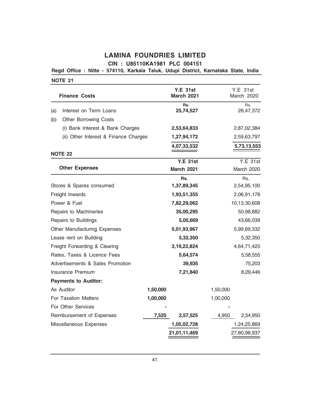**CIN : U85110KA1981 PLC 004151**

**Regd Office : Nitte - 574110, Karkala Taluk, Udupi District, Karnataka State, India**

| <b>Finance Costs</b>                  |          | <b>Y.E 31st</b><br><b>March 2021</b> | Y.E. 31st<br>March 2020 |
|---------------------------------------|----------|--------------------------------------|-------------------------|
| Interest on Term Loans<br>(a)         |          | Rs.<br>25,74,527                     | Rs.<br>26,47,372        |
| (b)<br><b>Other Borrowing Costs</b>   |          |                                      |                         |
| (i) Bank Interest & Bank Charges      |          | 2,53,64,833                          | 2,87,02,384             |
| (ii) Other Interest & Finance Charges |          | 1,27,94,172                          | 2,59,63,797             |
|                                       |          | 4,07,33,532                          | 5,73,13,553             |
| <b>NOTE 22</b>                        |          |                                      |                         |
|                                       |          | <b>Y.E 31st</b>                      | <b>Y.E 31st</b>         |
| <b>Other Expenses</b>                 |          | <b>March 2021</b>                    | March 2020              |
|                                       |          | Rs.                                  | Rs.                     |
| Stores & Spares consumed              |          | 1,37,89,345                          | 2,54,95,100             |
| Freight Inwards                       |          | 1,93,51,355                          | 2,06,91,178             |
| Power & Fuel                          |          | 7,82,29,062                          | 10,13,30,608            |
| Repairs to Machineries                |          | 35,00,295                            | 50,98,882               |
| Repairs to Buildings                  |          | 5,05,669                             | 43,66,039               |
| <b>Other Manufacturing Expenses</b>   |          | 5,01,93,967                          | 5,99,69,332             |
| Lease rent on Building                |          | 5,32,350                             | 5,32,350                |
| Freight Forwarding & Clearing         |          | 3, 19, 22, 824                       | 4,64,71,425             |
| Rates, Taxes & Licence Fees           |          | 5,64,574                             | 5,58,555                |
| Advertisements & Sales Promotion      |          | 39,935                               | 75,203                  |
| Insurance Premium                     |          | 7,21,840                             | 8,29,446                |
| <b>Payments to Auditor:</b>           |          |                                      |                         |
| As Auditor                            | 1,50,000 |                                      | 1,50,000                |
| <b>For Taxation Matters</b>           | 1,00,000 |                                      | 1,00,000                |
| For Other Services                    |          |                                      |                         |
| Reimbursement of Expenses             | 7,525    | 2,57,525                             | 4,950<br>2,54,950       |
| Miscellaneous Expenses                |          | 1,05,02,728                          | 1,24,25,869             |
|                                       |          | 21,01,11,469                         | 27,80,98,937            |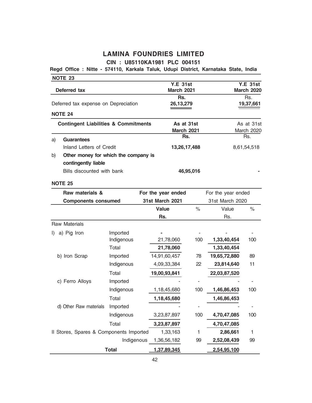# **Regd Office : Nitte - 574110, Karkala Taluk, Udupi District, Karnataka State, India**

|    | <b>NOTE 23</b>                                  |              |                                      |                              |                    |                                      |  |
|----|-------------------------------------------------|--------------|--------------------------------------|------------------------------|--------------------|--------------------------------------|--|
|    | Deferred tax                                    |              | <b>Y.E 31st</b><br><b>March 2021</b> |                              |                    | <b>Y.E 31st</b><br><b>March 2020</b> |  |
|    |                                                 |              | Rs.                                  |                              |                    |                                      |  |
|    | Deferred tax expense on Depreciation            |              | 26, 13, 279                          |                              |                    | Rs.<br>19,37,661                     |  |
|    | <b>NOTE 24</b>                                  |              |                                      |                              |                    |                                      |  |
|    | <b>Contingent Liabilities &amp; Commitments</b> |              | As at 31st                           |                              |                    | As at 31st                           |  |
|    |                                                 |              | <b>March 2021</b>                    |                              |                    | March 2020                           |  |
| a) | <b>Guarantees</b>                               |              | Rs.                                  |                              |                    | Rs.                                  |  |
|    | <b>Inland Letters of Credit</b>                 |              | 13,26,17,488                         |                              |                    | 8,61,54,518                          |  |
| b) | Other money for which the company is            |              |                                      |                              |                    |                                      |  |
|    | contingently liable                             |              |                                      |                              |                    |                                      |  |
|    | Bills discounted with bank                      |              |                                      | 46,95,016                    |                    |                                      |  |
|    | <b>NOTE 25</b>                                  |              |                                      |                              |                    |                                      |  |
|    | Raw materials &                                 |              | For the year ended                   |                              | For the year ended |                                      |  |
|    | <b>Components consumed</b>                      |              | <b>31st March 2021</b>               |                              | 31st March 2020    |                                      |  |
|    |                                                 |              | <b>Value</b>                         | $\%$                         | Value              | $\%$                                 |  |
|    |                                                 |              | Rs.                                  |                              | Rs.                |                                      |  |
|    | <b>Raw Materials</b>                            |              |                                      |                              |                    |                                      |  |
| D. | a) Pig Iron                                     | Imported     |                                      |                              |                    |                                      |  |
|    |                                                 | Indigenous   | 21,78,060                            | 100                          | 1,33,40,454        | 100                                  |  |
|    |                                                 | Total        | 21,78,060                            |                              | 1,33,40,454        |                                      |  |
|    | b) Iron Scrap                                   | Imported     | 14,91,60,457                         | 78                           | 19,65,72,880       | 89                                   |  |
|    |                                                 | Indigenous   | 4,09,33,384                          | 22                           | 23,814,640         | 11                                   |  |
|    |                                                 | Total        | 19,00,93,841                         |                              | 22,03,87,520       |                                      |  |
|    | c) Ferro Alloys                                 | Imported     |                                      |                              |                    |                                      |  |
|    |                                                 | Indigenous   | 1,18,45,680                          | 100                          | 1,46,86,453        | 100                                  |  |
|    |                                                 | Total        | 1,18,45,680                          |                              | 1,46,86,453        |                                      |  |
|    | d) Other Raw materials                          | Imported     |                                      | $\qquad \qquad \blacksquare$ |                    | $\overline{\phantom{a}}$             |  |
|    |                                                 | Indigenous   | 3,23,87,897                          | 100                          | 4,70,47,085        | 100                                  |  |
|    |                                                 | Total        | 3,23,87,897                          |                              | 4,70,47,085        |                                      |  |
|    | Il Stores, Spares & Components Imported         |              | 1,33,163                             | 1                            | 2,86,661           | 1                                    |  |
|    |                                                 | Indigenous   | 1,36,56,182                          | 99                           | 2,52,08,439        | 99                                   |  |
|    |                                                 | <b>Total</b> | 1,37,89,345                          |                              | 2,54,95,100        |                                      |  |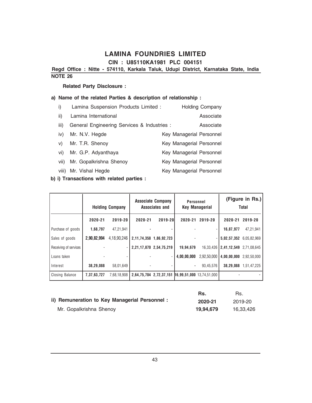**CIN : U85110KA1981 PLC 004151**

**Regd Office : Nitte - 574110, Karkala Taluk, Udupi District, Karnataka State, India**

### **NOTE 26**

### **Related Party Disclosure :**

### **a) Name of the related Parties & description of relationship :**

| i)    | Lamina Suspension Products Limited :        | <b>Holding Company</b>   |
|-------|---------------------------------------------|--------------------------|
| ii)   | Lamina International                        | Associate                |
| iii)  | General Engineering Services & Industries : | Associate                |
| iv)   | Mr. N.V. Hegde                              | Key Managerial Personnel |
| V)    | Mr. T.R. Shenoy                             | Key Managerial Personnel |
| vi)   | Mr. G.P. Adyanthaya                         | Key Managerial Personnel |
| vii)  | Mr. Gopalkrishna Shenov                     | Key Managerial Personnel |
| viii) | Mr. Vishal Hegde                            | Key Managerial Personnel |

**b) i) Transactions with related parties :**

|                       |             | <b>Holding Company</b> |         | <b>Associate Company</b><br>Associates and        | Personnel   | <b>Key Managerial</b> |                         | (Figure in Rs.)<br>Total |
|-----------------------|-------------|------------------------|---------|---------------------------------------------------|-------------|-----------------------|-------------------------|--------------------------|
|                       | 2020-21     | 2019-20                | 2020-21 | $2019 - 201$                                      | 2020-21     | 2019-20               | 2020-21                 | 2019-20                  |
| Purchase of goods     | 1,68,797    | 47,21,941              |         |                                                   |             |                       | 16,87,977               | 47,21,941                |
| Sales of goods        | 2,90,82,994 | 4,18,90,246            |         | 2, 11, 74, 358 1, 86, 92, 723                     |             |                       | 5,02,57,352 6,05,82,969 |                          |
| Receiving of services |             | ٠                      |         | 2,21,17,870 2,54,75,219                           | 19,94,679   | 16,33,426             | 2,41,12,549 2,71,08,645 |                          |
| Loans taken           |             |                        |         |                                                   | 4,00,00,000 | 2,92,50,000           | 4,00,00,000             | 2,92,50,000              |
| Interest              | 38,29,088   | 58.01.649              |         |                                                   |             | 93,45,576             |                         | 38,29,088 1.51,47,225    |
| Closing Balance       | 7,37,63,727 | 7.68.18.908            |         | 2,64,75,704 2,72,37,151 16,99,51,000 13,74,51,000 |             |                       |                         |                          |

|                                               | Rs.       | Rs.       |
|-----------------------------------------------|-----------|-----------|
| ii) Remuneration to Key Managerial Personnel: | 2020-21   | 2019-20   |
| Mr. Gopalkrishna Shenoy                       | 19.94.679 | 16.33.426 |